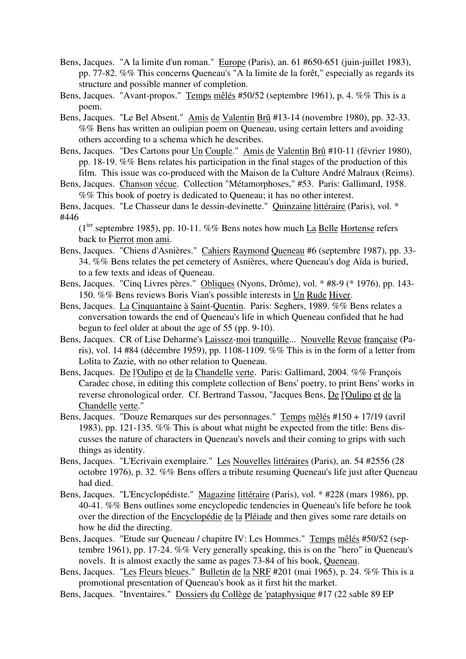- Bens, Jacques. "A la limite d'un roman." Europe (Paris), an. 61 #650-651 (juin-juillet 1983), pp. 77-82. %% This concerns Queneau's "A la limite de la forêt," especially as regards its structure and possible manner of completion.
- Bens, Jacques. "Avant-propos." Temps mêlés #50/52 (septembre 1961), p. 4. %% This is a poem.
- Bens, Jacques. "Le Bel Absent." Amis de Valentin Brû #13-14 (novembre 1980), pp. 32-33. %% Bens has written an oulipian poem on Queneau, using certain letters and avoiding others according to a schema which he describes.
- Bens, Jacques. "Des Cartons pour Un Couple." Amis de Valentin Brû #10-11 (février 1980), pp. 18-19. %% Bens relates his participation in the final stages of the production of this film. This issue was co-produced with the Maison de la Culture André Malraux (Reims).
- Bens, Jacques. Chanson vécue. Collection "Métamorphoses," #53. Paris: Gallimard, 1958. %% This book of poetry is dedicated to Queneau; it has no other interest.

Bens, Jacques. "Le Chasseur dans le dessin-devinette." Quinzaine littéraire (Paris), vol. \* #446

 $(1<sup>ier</sup>$  septembre 1985), pp. 10-11. %% Bens notes how much La Belle Hortense refers back to Pierrot mon ami.

- Bens, Jacques. "Chiens d'Asnières." Cahiers Raymond Queneau #6 (septembre 1987), pp. 33- 34. %% Bens relates the pet cemetery of Asnières, where Queneau's dog Aïda is buried, to a few texts and ideas of Queneau.
- Bens, Jacques. "Cinq Livres pères." Obliques (Nyons, Drôme), vol. \* #8-9 (\* 1976), pp. 143- 150. %% Bens reviews Boris Vian's possible interests in Un Rude Hiver.
- Bens, Jacques. La Cinquantaine à Saint-Quentin. Paris: Seghers, 1989. %% Bens relates a conversation towards the end of Queneau's life in which Queneau confided that he had begun to feel older at about the age of 55 (pp. 9-10).
- Bens, Jacques. CR of Lise Deharme's Laissez-moi tranquille... Nouvelle Revue française (Paris), vol. 14 #84 (décembre 1959), pp. 1108-1109. %% This is in the form of a letter from Lolita to Zazie, with no other relation to Queneau.
- Bens, Jacques. De l'Oulipo et de la Chandelle verte. Paris: Gallimard, 2004. %% François Caradec chose, in editing this complete collection of Bens' poetry, to print Bens' works in reverse chronological order. Cf. Bertrand Tassou, "Jacques Bens, De l'Oulipo et de la Chandelle verte."
- Bens, Jacques. "Douze Remarques sur des personnages." Temps mêlés #150 + 17/19 (avril 1983), pp. 121-135. %% This is about what might be expected from the title: Bens discusses the nature of characters in Queneau's novels and their coming to grips with such things as identity.
- Bens, Jacques. "L'Ecrivain exemplaire." Les Nouvelles littéraires (Paris), an. 54 #2556 (28 octobre 1976), p. 32. %% Bens offers a tribute resuming Queneau's life just after Queneau had died.
- Bens, Jacques. "L'Encyclopédiste." Magazine littéraire (Paris), vol. \* #228 (mars 1986), pp. 40-41. %% Bens outlines some encyclopedic tendencies in Queneau's life before he took over the direction of the Encyclopédie de la Pléiade and then gives some rare details on how he did the directing.
- Bens, Jacques. "Etude sur Queneau / chapitre IV: Les Hommes." Temps mêlés #50/52 (septembre 1961), pp. 17-24. %% Very generally speaking, this is on the "hero" in Queneau's novels. It is almost exactly the same as pages 73-84 of his book, Queneau.

Bens, Jacques. "Les Fleurs bleues." Bulletin de la NRF #201 (mai 1965), p. 24. %% This is a promotional presentation of Queneau's book as it first hit the market.

Bens, Jacques. "Inventaires." Dossiers du Collège de 'pataphysique #17 (22 sable 89 EP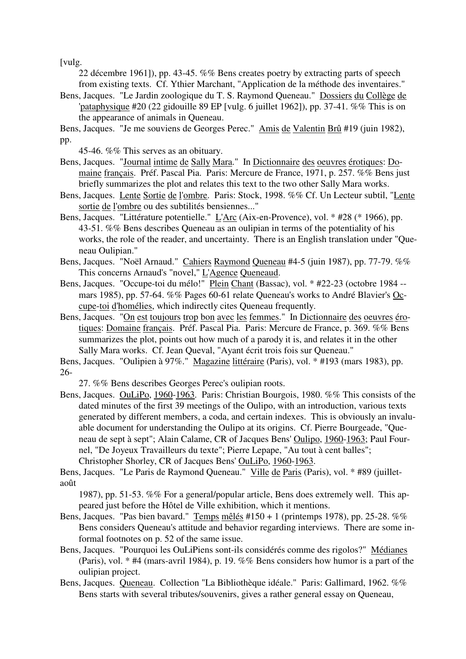[vulg.

22 décembre 1961]), pp. 43-45. %% Bens creates poetry by extracting parts of speech from existing texts. Cf. Ythier Marchant, "Application de la méthode des inventaires."

- Bens, Jacques. "Le Jardin zoologique du T. S. Raymond Queneau." Dossiers du Collège de 'pataphysique #20 (22 gidouille 89 EP [vulg. 6 juillet 1962]), pp. 37-41. %% This is on the appearance of animals in Queneau.
- Bens, Jacques. "Je me souviens de Georges Perec." Amis de Valentin Brû #19 (juin 1982), pp.

45-46. %% This serves as an obituary.

- Bens, Jacques. "Journal intime de Sally Mara." In Dictionnaire des oeuvres érotiques: Domaine français. Préf. Pascal Pia. Paris: Mercure de France, 1971, p. 257. %% Bens just briefly summarizes the plot and relates this text to the two other Sally Mara works.
- Bens, Jacques. Lente Sortie de l'ombre. Paris: Stock, 1998. %% Cf. Un Lecteur subtil, "Lente sortie de l'ombre ou des subtilités bensiennes..."
- Bens, Jacques. "Littérature potentielle." L'Arc (Aix-en-Provence), vol. \* #28 (\* 1966), pp. 43-51. %% Bens describes Queneau as an oulipian in terms of the potentiality of his works, the role of the reader, and uncertainty. There is an English translation under "Queneau Oulipian."
- Bens, Jacques. "Noël Arnaud." Cahiers Raymond Queneau #4-5 (juin 1987), pp. 77-79. %% This concerns Arnaud's "novel," L'Agence Queneaud.
- Bens, Jacques. "Occupe-toi du mélo!" Plein Chant (Bassac), vol. \* #22-23 (octobre 1984 -mars 1985), pp. 57-64. %% Pages 60-61 relate Queneau's works to André Blavier's Occupe-toi d'homélies, which indirectly cites Queneau frequently.
- Bens, Jacques. "On est toujours trop bon avec les femmes." In Dictionnaire des oeuvres érotiques: Domaine français. Préf. Pascal Pia. Paris: Mercure de France, p. 369. %% Bens summarizes the plot, points out how much of a parody it is, and relates it in the other Sally Mara works. Cf. Jean Queval, "Ayant écrit trois fois sur Queneau."

Bens, Jacques. "Oulipien à 97%." Magazine littéraire (Paris), vol. \* #193 (mars 1983), pp. 26-

27. %% Bens describes Georges Perec's oulipian roots.

Bens, Jacques. OuLiPo, 1960-1963. Paris: Christian Bourgois, 1980. %% This consists of the dated minutes of the first 39 meetings of the Oulipo, with an introduction, various texts generated by different members, a coda, and certain indexes. This is obviously an invaluable document for understanding the Oulipo at its origins. Cf. Pierre Bourgeade, "Queneau de sept à sept"; Alain Calame, CR of Jacques Bens' Oulipo, 1960-1963; Paul Fournel, "De Joyeux Travailleurs du texte"; Pierre Lepape, "Au tout à cent balles"; Christopher Shorley, CR of Jacques Bens' OuLiPo, 1960-1963.

Bens, Jacques. "Le Paris de Raymond Queneau." Ville de Paris (Paris), vol. \* #89 (juilletaoût

1987), pp. 51-53. %% For a general/popular article, Bens does extremely well. This appeared just before the Hôtel de Ville exhibition, which it mentions.

- Bens, Jacques. "Pas bien bavard." Temps mêlés  $\#150 + 1$  (printemps 1978), pp. 25-28. %% Bens considers Queneau's attitude and behavior regarding interviews. There are some informal footnotes on p. 52 of the same issue.
- Bens, Jacques. "Pourquoi les OuLiPiens sont-ils considérés comme des rigolos?" Médianes (Paris), vol. \* #4 (mars-avril 1984), p. 19. %% Bens considers how humor is a part of the oulipian project.
- Bens, Jacques. Queneau. Collection "La Bibliothèque idéale." Paris: Gallimard, 1962. %% Bens starts with several tributes/souvenirs, gives a rather general essay on Queneau,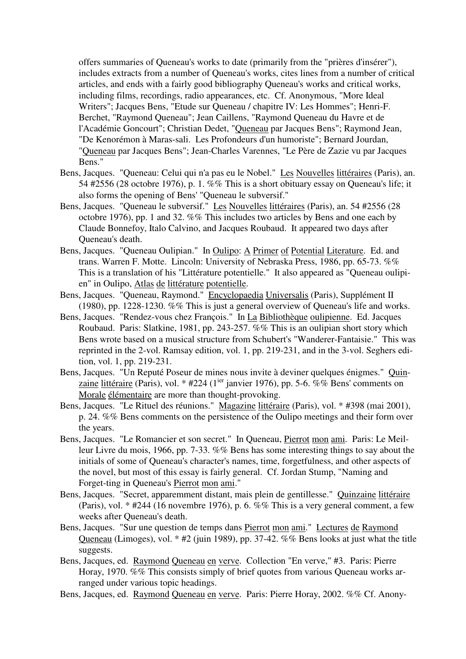offers summaries of Queneau's works to date (primarily from the "prières d'insérer"), includes extracts from a number of Queneau's works, cites lines from a number of critical articles, and ends with a fairly good bibliography Queneau's works and critical works, including films, recordings, radio appearances, etc. Cf. Anonymous, "More Ideal Writers"; Jacques Bens, "Etude sur Queneau / chapitre IV: Les Hommes"; Henri-F. Berchet, "Raymond Queneau"; Jean Caillens, "Raymond Queneau du Havre et de l'Académie Goncourt"; Christian Dedet, "Queneau par Jacques Bens"; Raymond Jean, "De Kenorémon à Maras-sali. Les Profondeurs d'un humoriste"; Bernard Jourdan, "Queneau par Jacques Bens"; Jean-Charles Varennes, "Le Père de Zazie vu par Jacques Bens."

- Bens, Jacques. "Queneau: Celui qui n'a pas eu le Nobel." Les Nouvelles littéraires (Paris), an. 54 #2556 (28 octobre 1976), p. 1. %% This is a short obituary essay on Queneau's life; it also forms the opening of Bens' "Queneau le subversif."
- Bens, Jacques. "Queneau le subversif." Les Nouvelles littéraires (Paris), an. 54 #2556 (28 octobre 1976), pp. 1 and 32. %% This includes two articles by Bens and one each by Claude Bonnefoy, Italo Calvino, and Jacques Roubaud. It appeared two days after Queneau's death.
- Bens, Jacques. "Queneau Oulipian." In Oulipo: A Primer of Potential Literature. Ed. and trans. Warren F. Motte. Lincoln: University of Nebraska Press, 1986, pp. 65-73. %% This is a translation of his "Littérature potentielle." It also appeared as "Queneau oulipien" in Oulipo, Atlas de littérature potentielle.
- Bens, Jacques. "Queneau, Raymond." Encyclopaedia Universalis (Paris), Supplément II (1980), pp. 1228-1230. %% This is just a general overview of Queneau's life and works.
- Bens, Jacques. "Rendez-vous chez François." In La Bibliothèque oulipienne. Ed. Jacques Roubaud. Paris: Slatkine, 1981, pp. 243-257. %% This is an oulipian short story which Bens wrote based on a musical structure from Schubert's "Wanderer-Fantaisie." This was reprinted in the 2-vol. Ramsay edition, vol. 1, pp. 219-231, and in the 3-vol. Seghers edition, vol. 1, pp. 219-231.
- Bens, Jacques. "Un Reputé Poseur de mines nous invite à deviner quelques énigmes." Quinzaine littéraire (Paris), vol. \* #224 ( $1^{ier}$  janvier 1976), pp. 5-6. %% Bens' comments on Morale élémentaire are more than thought-provoking.
- Bens, Jacques. "Le Rituel des réunions." Magazine littéraire (Paris), vol. \* #398 (mai 2001), p. 24. %% Bens comments on the persistence of the Oulipo meetings and their form over the years.
- Bens, Jacques. "Le Romancier et son secret." In Queneau, Pierrot mon ami. Paris: Le Meilleur Livre du mois, 1966, pp. 7-33. %% Bens has some interesting things to say about the initials of some of Queneau's character's names, time, forgetfulness, and other aspects of the novel, but most of this essay is fairly general. Cf. Jordan Stump, "Naming and Forget-ting in Queneau's Pierrot mon ami."
- Bens, Jacques. "Secret, apparemment distant, mais plein de gentillesse." Quinzaine littéraire (Paris), vol. \* #244 (16 novembre 1976), p. 6. %% This is a very general comment, a few weeks after Queneau's death.
- Bens, Jacques. "Sur une question de temps dans Pierrot mon ami." Lectures de Raymond Queneau (Limoges), vol. \* #2 (juin 1989), pp. 37-42. %% Bens looks at just what the title suggests.
- Bens, Jacques, ed. Raymond Queneau en verve. Collection "En verve," #3. Paris: Pierre Horay, 1970. %% This consists simply of brief quotes from various Queneau works arranged under various topic headings.
- Bens, Jacques, ed. Raymond Queneau en verve. Paris: Pierre Horay, 2002. %% Cf. Anony-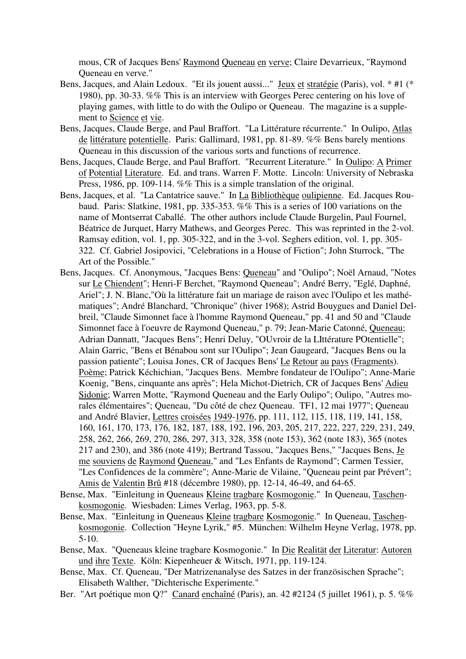mous, CR of Jacques Bens' Raymond Queneau en verve; Claire Devarrieux, "Raymond Queneau en verve."

- Bens, Jacques, and Alain Ledoux. "Et ils jouent aussi..." Jeux et stratégie (Paris), vol. \* #1 (\* 1980), pp. 30-33. %% This is an interview with Georges Perec centering on his love of playing games, with little to do with the Oulipo or Queneau. The magazine is a supplement to Science et vie.
- Bens, Jacques, Claude Berge, and Paul Braffort. "La Littérature récurrente." In Oulipo, Atlas de littérature potentielle. Paris: Gallimard, 1981, pp. 81-89. %% Bens barely mentions Queneau in this discussion of the various sorts and functions of recurrence.
- Bens, Jacques, Claude Berge, and Paul Braffort. "Recurrent Literature." In Oulipo: A Primer of Potential Literature. Ed. and trans. Warren F. Motte. Lincoln: University of Nebraska Press, 1986, pp. 109-114. %% This is a simple translation of the original.
- Bens, Jacques, et al. "La Cantatrice sauve." In La Bibliothèque oulipienne. Ed. Jacques Roubaud. Paris: Slatkine, 1981, pp. 335-353. %% This is a series of 100 variations on the name of Montserrat Caballé. The other authors include Claude Burgelin, Paul Fournel, Béatrice de Jurquet, Harry Mathews, and Georges Perec. This was reprinted in the 2-vol. Ramsay edition, vol. 1, pp. 305-322, and in the 3-vol. Seghers edition, vol. 1, pp. 305- 322. Cf. Gabriel Josipovici, "Celebrations in a House of Fiction"; John Sturrock, "The Art of the Possible."
- Bens, Jacques. Cf. Anonymous, "Jacques Bens: Queneau" and "Oulipo"; Noël Arnaud, "Notes sur Le Chiendent"; Henri-F Berchet, "Raymond Queneau"; André Berry, "Eglé, Daphné, Ariel"; J. N. Blanc,"Où la littérature fait un mariage de raison avec l'Oulipo et les mathématiques"; André Blanchard, "Chronique" (hiver 1968); Astrid Bouygues and Daniel Delbreil, "Claude Simonnet face à l'homme Raymond Queneau," pp. 41 and 50 and "Claude Simonnet face à l'oeuvre de Raymond Queneau," p. 79; Jean-Marie Catonné, Queneau; Adrian Dannatt, "Jacques Bens"; Henri Deluy, "OUvroir de la LIttérature POtentielle"; Alain Garric, "Bens et Bénabou sont sur l'Oulipo"; Jean Gaugeard, "Jacques Bens ou la passion patiente"; Louisa Jones, CR of Jacques Bens' Le Retour au pays (Fragments). Poème; Patrick Kéchichian, "Jacques Bens. Membre fondateur de l'Oulipo"; Anne-Marie Koenig, "Bens, cinquante ans après"; Hela Michot-Dietrich, CR of Jacques Bens' Adieu Sidonie; Warren Motte, "Raymond Queneau and the Early Oulipo"; Oulipo, "Autres morales élémentaires"; Queneau, "Du côté de chez Queneau. TF1, 12 mai 1977"; Queneau and André Blavier, Lettres croisées 1949-1976, pp. 111, 112, 115, 118, 119, 141, 158, 160, 161, 170, 173, 176, 182, 187, 188, 192, 196, 203, 205, 217, 222, 227, 229, 231, 249, 258, 262, 266, 269, 270, 286, 297, 313, 328, 358 (note 153), 362 (note 183), 365 (notes 217 and 230), and 386 (note 419); Bertrand Tassou, "Jacques Bens," "Jacques Bens, Je me souviens de Raymond Queneau," and "Les Enfants de Raymond"; Carmen Tessier, "Les Confidences de la commère"; Anne-Marie de Vilaine, "Queneau peint par Prévert"; Amis de Valentin Brû #18 (décembre 1980), pp. 12-14, 46-49, and 64-65.
- Bense, Max. "Einleitung in Queneaus Kleine tragbare Kosmogonie." In Queneau, Taschenkosmogonie. Wiesbaden: Limes Verlag, 1963, pp. 5-8.
- Bense, Max. "Einleitung in Queneaus Kleine tragbare Kosmogonie." In Queneau, Taschenkosmogonie. Collection "Heyne Lyrik," #5. München: Wilhelm Heyne Verlag, 1978, pp. 5-10.
- Bense, Max. "Queneaus kleine tragbare Kosmogonie." In Die Realität der Literatur: Autoren und ihre Texte. Köln: Kiepenheuer & Witsch, 1971, pp. 119-124.
- Bense, Max. Cf. Queneau, "Der Matrizenanalyse des Satzes in der französischen Sprache"; Elisabeth Walther, "Dichterische Experimente."
- Ber. "Art poétique mon Q?" Canard enchaîné (Paris), an. 42 #2124 (5 juillet 1961), p. 5. %%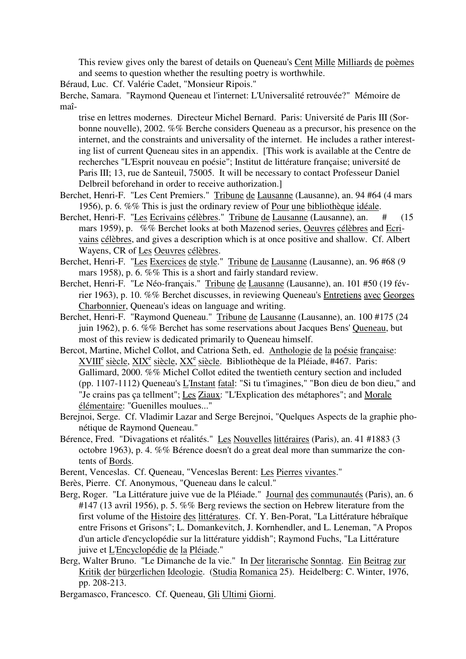This review gives only the barest of details on Queneau's Cent Mille Milliards de poèmes and seems to question whether the resulting poetry is worthwhile.

Béraud, Luc. Cf. Valérie Cadet, "Monsieur Ripois."

Berche, Samara. "Raymond Queneau et l'internet: L'Universalité retrouvée?" Mémoire de maî-

trise en lettres modernes. Directeur Michel Bernard. Paris: Université de Paris III (Sorbonne nouvelle), 2002. %% Berche considers Queneau as a precursor, his presence on the internet, and the constraints and universality of the internet. He includes a rather interesting list of current Queneau sites in an appendix. [This work is available at the Centre de recherches "L'Esprit nouveau en poésie"; Institut de littérature française; université de Paris III; 13, rue de Santeuil, 75005. It will be necessary to contact Professeur Daniel Delbreil beforehand in order to receive authorization.]

- Berchet, Henri-F. "Les Cent Premiers." Tribune de Lausanne (Lausanne), an. 94 #64 (4 mars 1956), p. 6. %% This is just the ordinary review of Pour une bibliothèque idéale.
- Berchet, Henri-F. "Les Ecrivains célèbres." Tribune de Lausanne (Lausanne), an. # (15 mars 1959), p. %% Berchet looks at both Mazenod series, Oeuvres célèbres and Ecrivains célèbres, and gives a description which is at once positive and shallow. Cf. Albert Wayens, CR of Les Oeuvres célèbres.
- Berchet, Henri-F. "Les Exercices de style." Tribune de Lausanne (Lausanne), an. 96 #68 (9 mars 1958), p. 6. %% This is a short and fairly standard review.
- Berchet, Henri-F. "Le Néo-français." Tribune de Lausanne (Lausanne), an. 101 #50 (19 février 1963), p. 10. %% Berchet discusses, in reviewing Queneau's Entretiens avec Georges Charbonnier, Queneau's ideas on language and writing.
- Berchet, Henri-F. "Raymond Queneau." Tribune de Lausanne (Lausanne), an. 100 #175 (24 juin 1962), p. 6. %% Berchet has some reservations about Jacques Bens' Queneau, but most of this review is dedicated primarily to Queneau himself.
- Bercot, Martine, Michel Collot, and Catriona Seth, ed. Anthologie de la poésie française: XVIII<sup>e</sup> siècle, XIX<sup>e</sup> siècle, XX<sup>e</sup> siècle. Bibliothèque de la Pléiade, #467. Paris: Gallimard, 2000. %% Michel Collot edited the twentieth century section and included (pp. 1107-1112) Queneau's L'Instant fatal: "Si tu t'imagines," "Bon dieu de bon dieu," and "Je crains pas ça tellment"; Les Ziaux: "L'Explication des métaphores"; and Morale élémentaire: "Guenilles moulues..."
- Berejnoi, Serge. Cf. Vladimir Lazar and Serge Berejnoi, "Quelques Aspects de la graphie phonétique de Raymond Queneau."
- Bérence, Fred. "Divagations et réalités." Les Nouvelles littéraires (Paris), an. 41 #1883 (3 octobre 1963), p. 4. %% Bérence doesn't do a great deal more than summarize the contents of Bords.
- Berent, Venceslas. Cf. Queneau, "Venceslas Berent: Les Pierres vivantes."
- Berès, Pierre. Cf. Anonymous, "Queneau dans le calcul."
- Berg, Roger. "La Littérature juive vue de la Pléiade." Journal des communautés (Paris), an. 6 #147 (13 avril 1956), p. 5. %% Berg reviews the section on Hebrew literature from the first volume of the Histoire des littératures. Cf. Y. Ben-Porat, "La Littérature hébraïque entre Frisons et Grisons"; L. Domankevitch, J. Kornhendler, and L. Leneman, "A Propos d'un article d'encyclopédie sur la littérature yiddish"; Raymond Fuchs, "La Littérature juive et L'Encyclopédie de la Pléiade."
- Berg, Walter Bruno. "Le Dimanche de la vie." In Der literarische Sonntag. Ein Beitrag zur Kritik der bürgerlichen Ideologie. (Studia Romanica 25). Heidelberg: C. Winter, 1976, pp. 208-213.
- Bergamasco, Francesco. Cf. Queneau, Gli Ultimi Giorni.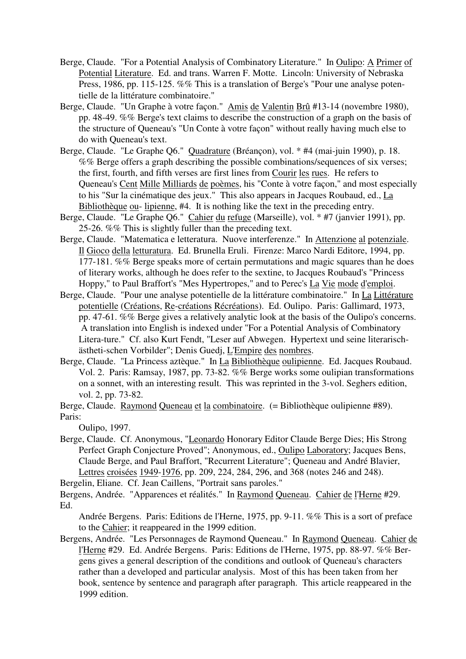- Berge, Claude. "For a Potential Analysis of Combinatory Literature." In Oulipo: A Primer of Potential Literature. Ed. and trans. Warren F. Motte. Lincoln: University of Nebraska Press, 1986, pp. 115-125. %% This is a translation of Berge's "Pour une analyse potentielle de la littérature combinatoire."
- Berge, Claude. "Un Graphe à votre façon." Amis de Valentin Brû #13-14 (novembre 1980), pp. 48-49. %% Berge's text claims to describe the construction of a graph on the basis of the structure of Queneau's "Un Conte à votre façon" without really having much else to do with Queneau's text.
- Berge, Claude. "Le Graphe Q6." Quadrature (Bréançon), vol. \* #4 (mai-juin 1990), p. 18. %% Berge offers a graph describing the possible combinations/sequences of six verses; the first, fourth, and fifth verses are first lines from Courir les rues. He refers to Queneau's Cent Mille Milliards de poèmes, his "Conte à votre façon," and most especially to his "Sur la cinématique des jeux." This also appears in Jacques Roubaud, ed., La Bibliothèque ou- lipienne, #4. It is nothing like the text in the preceding entry.
- Berge, Claude. "Le Graphe Q6." Cahier du refuge (Marseille), vol. \* #7 (janvier 1991), pp. 25-26. %% This is slightly fuller than the preceding text.
- Berge, Claude. "Matematica e letteratura. Nuove interferenze." In Attenzione al potenziale. Il Gioco della letturatura. Ed. Brunella Eruli. Firenze: Marco Nardi Editore, 1994, pp. 177-181. %% Berge speaks more of certain permutations and magic squares than he does of literary works, although he does refer to the sextine, to Jacques Roubaud's "Princess Hoppy," to Paul Braffort's "Mes Hypertropes," and to Perec's La Vie mode d'emploi.
- Berge, Claude. "Pour une analyse potentielle de la littérature combinatoire." In La Littérature potentielle (Créations, Re-créations Récréations). Ed. Oulipo. Paris: Gallimard, 1973, pp. 47-61. %% Berge gives a relatively analytic look at the basis of the Oulipo's concerns. A translation into English is indexed under "For a Potential Analysis of Combinatory Litera-ture." Cf. also Kurt Fendt, "Leser auf Abwegen. Hypertext und seine literarischästheti-schen Vorbilder"; Denis Guedj, L'Empire des nombres.
- Berge, Claude. "La Princess aztèque." In La Bibliothèque oulipienne. Ed. Jacques Roubaud. Vol. 2. Paris: Ramsay, 1987, pp. 73-82. %% Berge works some oulipian transformations on a sonnet, with an interesting result. This was reprinted in the 3-vol. Seghers edition, vol. 2, pp. 73-82.
- Berge, Claude. Raymond Queneau et la combinatoire. (= Bibliothèque oulipienne #89). Paris:

Oulipo, 1997.

Berge, Claude. Cf. Anonymous, "Leonardo Honorary Editor Claude Berge Dies; His Strong Perfect Graph Conjecture Proved"; Anonymous, ed., Oulipo Laboratory; Jacques Bens, Claude Berge, and Paul Braffort, "Recurrent Literature"; Queneau and André Blavier, Lettres croisées 1949-1976, pp. 209, 224, 284, 296, and 368 (notes 246 and 248).

Bergelin, Eliane. Cf. Jean Caillens, "Portrait sans paroles."

Bergens, Andrée. "Apparences et réalités." In Raymond Queneau. Cahier de l'Herne #29. Ed.

Andrée Bergens. Paris: Editions de l'Herne, 1975, pp. 9-11. %% This is a sort of preface to the Cahier; it reappeared in the 1999 edition.

Bergens, Andrée. "Les Personnages de Raymond Queneau." In Raymond Queneau. Cahier de l'Herne #29. Ed. Andrée Bergens. Paris: Editions de l'Herne, 1975, pp. 88-97. %% Bergens gives a general description of the conditions and outlook of Queneau's characters rather than a developed and particular analysis. Most of this has been taken from her book, sentence by sentence and paragraph after paragraph. This article reappeared in the 1999 edition.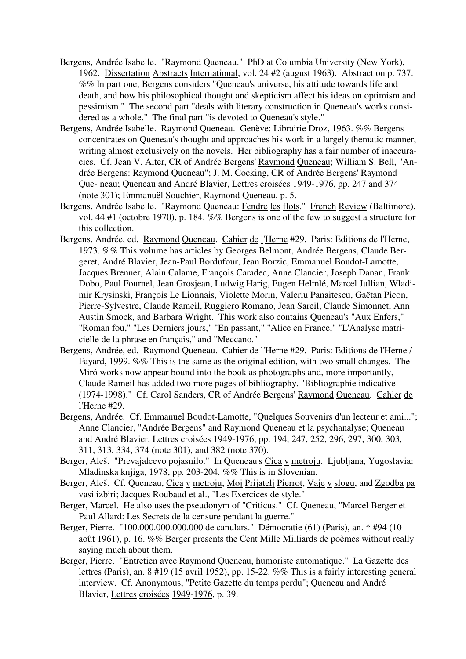- Bergens, Andrée Isabelle. "Raymond Queneau." PhD at Columbia University (New York), 1962. Dissertation Abstracts International, vol. 24 #2 (august 1963). Abstract on p. 737. %% In part one, Bergens considers "Queneau's universe, his attitude towards life and death, and how his philosophical thought and skepticism affect his ideas on optimism and pessimism." The second part "deals with literary construction in Queneau's works considered as a whole." The final part "is devoted to Queneau's style."
- Bergens, Andrée Isabelle. Raymond Queneau. Genève: Librairie Droz, 1963. %% Bergens concentrates on Queneau's thought and approaches his work in a largely thematic manner, writing almost exclusively on the novels. Her bibliography has a fair number of inaccuracies. Cf. Jean V. Alter, CR of Andrée Bergens' Raymond Queneau; William S. Bell, "Andrée Bergens: Raymond Queneau"; J. M. Cocking, CR of Andrée Bergens' Raymond Que- neau; Queneau and André Blavier, Lettres croisées 1949-1976, pp. 247 and 374 (note 301); Emmanuël Souchier, Raymond Queneau, p. 5.
- Bergens, Andrée Isabelle. "Raymond Queneau: Fendre les flots." French Review (Baltimore), vol. 44 #1 (octobre 1970), p. 184. %% Bergens is one of the few to suggest a structure for this collection.
- Bergens, Andrée, ed. Raymond Queneau. Cahier de l'Herne #29. Paris: Editions de l'Herne, 1973. %% This volume has articles by Georges Belmont, Andrée Bergens, Claude Bergeret, André Blavier, Jean-Paul Bordufour, Jean Borzic, Emmanuel Boudot-Lamotte, Jacques Brenner, Alain Calame, François Caradec, Anne Clancier, Joseph Danan, Frank Dobo, Paul Fournel, Jean Grosjean, Ludwig Harig, Eugen Helmlé, Marcel Jullian, Wladimir Krysinski, François Le Lionnais, Violette Morin, Valeriu Panaitescu, Gaëtan Picon, Pierre-Sylvestre, Claude Rameil, Ruggiero Romano, Jean Sareil, Claude Simonnet, Ann Austin Smock, and Barbara Wright. This work also contains Queneau's "Aux Enfers," "Roman fou," "Les Derniers jours," "En passant," "Alice en France," "L'Analyse matricielle de la phrase en français," and "Meccano."
- Bergens, Andrée, ed. Raymond Queneau. Cahier de l'Herne #29. Paris: Editions de l'Herne / Fayard, 1999. %% This is the same as the original edition, with two small changes. The Miró works now appear bound into the book as photographs and, more importantly, Claude Rameil has added two more pages of bibliography, "Bibliographie indicative (1974-1998)." Cf. Carol Sanders, CR of Andrée Bergens' Raymond Queneau. Cahier de l'Herne #29.
- Bergens, Andrée. Cf. Emmanuel Boudot-Lamotte, "Quelques Souvenirs d'un lecteur et ami..."; Anne Clancier, "Andrée Bergens" and Raymond Queneau et la psychanalyse; Queneau and André Blavier, Lettres croisées 1949-1976, pp. 194, 247, 252, 296, 297, 300, 303, 311, 313, 334, 374 (note 301), and 382 (note 370).
- Berger, Aleš. "Prevajalcevo pojasnilo." In Queneau's Cica v metroju. Ljubljana, Yugoslavia: Mladinska knjiga, 1978, pp. 203-204. %% This is in Slovenian.
- Berger, Aleš. Cf. Queneau, Cica v metroju, Moj Prijatelj Pierrot, Vaje v slogu, and Zgodba pa vasi izbiri; Jacques Roubaud et al., "Les Exercices de style."
- Berger, Marcel. He also uses the pseudonym of "Criticus." Cf. Queneau, "Marcel Berger et Paul Allard: Les Secrets de la censure pendant la guerre."
- Berger, Pierre. "100.000.000.000.000 de canulars." Démocratie (61) (Paris), an. \* #94 (10) août 1961), p. 16. %% Berger presents the Cent Mille Milliards de poèmes without really saying much about them.
- Berger, Pierre. "Entretien avec Raymond Queneau, humoriste automatique." La Gazette des lettres (Paris), an. 8 #19 (15 avril 1952), pp. 15-22. %% This is a fairly interesting general interview. Cf. Anonymous, "Petite Gazette du temps perdu"; Queneau and André Blavier, Lettres croisées 1949-1976, p. 39.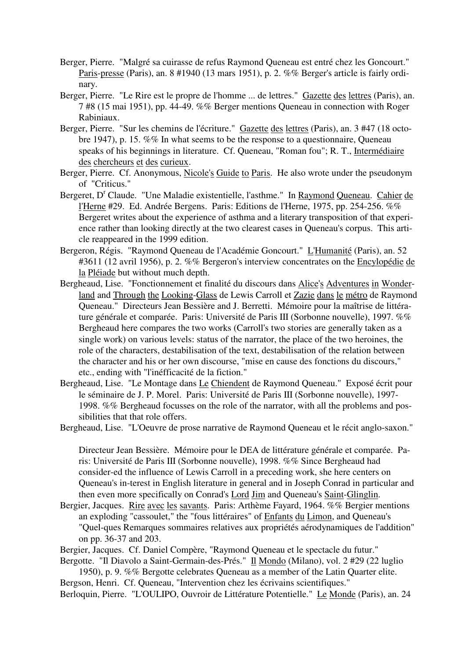- Berger, Pierre. "Malgré sa cuirasse de refus Raymond Queneau est entré chez les Goncourt." Paris-presse (Paris), an. 8 #1940 (13 mars 1951), p. 2. %% Berger's article is fairly ordinary.
- Berger, Pierre. "Le Rire est le propre de l'homme ... de lettres." Gazette des lettres (Paris), an. 7 #8 (15 mai 1951), pp. 44-49. %% Berger mentions Queneau in connection with Roger Rabiniaux.
- Berger, Pierre. "Sur les chemins de l'écriture." Gazette des lettres (Paris), an. 3 #47 (18 octobre 1947), p. 15. %% In what seems to be the response to a questionnaire, Queneau speaks of his beginnings in literature. Cf. Queneau, "Roman fou"; R. T., Intermédiaire des chercheurs et des curieux.
- Berger, Pierre. Cf. Anonymous, Nicole's Guide to Paris. He also wrote under the pseudonym of "Criticus."
- Bergeret, D<sup>r</sup> Claude. "Une Maladie existentielle, l'asthme." In Raymond Queneau. Cahier de l'Herne #29. Ed. Andrée Bergens. Paris: Editions de l'Herne, 1975, pp. 254-256. %% Bergeret writes about the experience of asthma and a literary transposition of that experience rather than looking directly at the two clearest cases in Queneau's corpus. This article reappeared in the 1999 edition.
- Bergeron, Régis. "Raymond Queneau de l'Académie Goncourt." L'Humanité (Paris), an. 52 #3611 (12 avril 1956), p. 2. %% Bergeron's interview concentrates on the Encylopédie de la Pléiade but without much depth.
- Bergheaud, Lise. "Fonctionnement et finalité du discours dans Alice's Adventures in Wonderland and Through the Looking-Glass de Lewis Carroll et Zazie dans le métro de Raymond Queneau." Directeurs Jean Bessière and J. Berretti. Mémoire pour la maîtrise de littérature générale et comparée. Paris: Université de Paris III (Sorbonne nouvelle), 1997. %% Bergheaud here compares the two works (Carroll's two stories are generally taken as a single work) on various levels: status of the narrator, the place of the two heroines, the role of the characters, destabilisation of the text, destabilisation of the relation between the character and his or her own discourse, "mise en cause des fonctions du discours," etc., ending with "l'inéfficacité de la fiction."
- Bergheaud, Lise. "Le Montage dans Le Chiendent de Raymond Queneau." Exposé écrit pour le séminaire de J. P. Morel. Paris: Université de Paris III (Sorbonne nouvelle), 1997- 1998. %% Bergheaud focusses on the role of the narrator, with all the problems and possibilities that that role offers.
- Bergheaud, Lise. "L'Oeuvre de prose narrative de Raymond Queneau et le récit anglo-saxon."

Directeur Jean Bessière. Mémoire pour le DEA de littérature générale et comparée. Paris: Université de Paris III (Sorbonne nouvelle), 1998. %% Since Bergheaud had consider-ed the influence of Lewis Carroll in a preceding work, she here centers on Queneau's in-terest in English literature in general and in Joseph Conrad in particular and then even more specifically on Conrad's Lord Jim and Queneau's Saint-Glinglin.

- Bergier, Jacques. Rire avec les savants. Paris: Arthème Fayard, 1964. %% Bergier mentions an exploding "cassoulet," the "fous littéraires" of Enfants du Limon, and Queneau's "Quel-ques Remarques sommaires relatives aux propriétés aérodynamiques de l'addition" on pp. 36-37 and 203.
- Bergier, Jacques. Cf. Daniel Compère, "Raymond Queneau et le spectacle du futur."

Bergotte. "Il Diavolo a Saint-Germain-des-Prés." Il Mondo (Milano), vol. 2 #29 (22 luglio 1950), p. 9. %% Bergotte celebrates Queneau as a member of the Latin Quarter elite.

Bergson, Henri. Cf. Queneau, "Intervention chez les écrivains scientifiques." Berloquin, Pierre. "L'OULIPO, Ouvroir de Littérature Potentielle." Le Monde (Paris), an. 24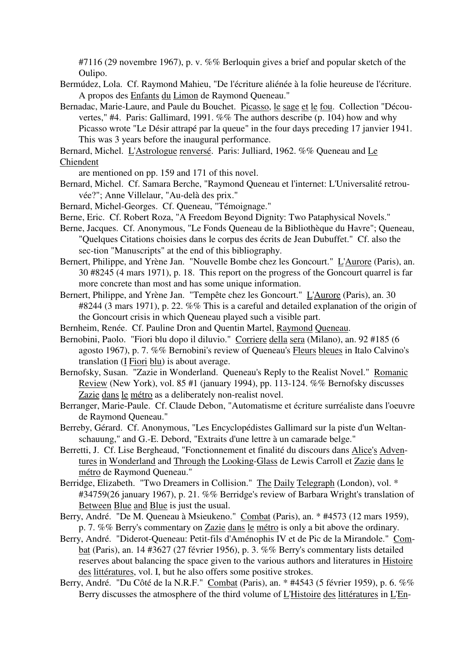#7116 (29 novembre 1967), p. v. %% Berloquin gives a brief and popular sketch of the Oulipo.

- Bermúdez, Lola. Cf. Raymond Mahieu, "De l'écriture aliénée à la folie heureuse de l'écriture. A propos des Enfants du Limon de Raymond Queneau."
- Bernadac, Marie-Laure, and Paule du Bouchet. Picasso, le sage et le fou. Collection "Découvertes," #4. Paris: Gallimard, 1991. %% The authors describe (p. 104) how and why Picasso wrote "Le Désir attrapé par la queue" in the four days preceding 17 janvier 1941. This was 3 years before the inaugural performance.
- Bernard, Michel. L'Astrologue renversé. Paris: Julliard, 1962. %% Queneau and Le Chiendent

are mentioned on pp. 159 and 171 of this novel.

- Bernard, Michel. Cf. Samara Berche, "Raymond Queneau et l'internet: L'Universalité retrouvée?"; Anne Villelaur, "Au-delà des prix."
- Bernard, Michel-Georges. Cf. Queneau, "Témoignage."
- Berne, Eric. Cf. Robert Roza, "A Freedom Beyond Dignity: Two Pataphysical Novels."
- Berne, Jacques. Cf. Anonymous, "Le Fonds Queneau de la Bibliothèque du Havre"; Queneau, "Quelques Citations choisies dans le corpus des écrits de Jean Dubuffet." Cf. also the sec-tion "Manuscripts" at the end of this bibliography.
- Bernert, Philippe, and Yrène Jan. "Nouvelle Bombe chez les Goncourt." L'Aurore (Paris), an. 30 #8245 (4 mars 1971), p. 18. This report on the progress of the Goncourt quarrel is far more concrete than most and has some unique information.
- Bernert, Philippe, and Yrène Jan. "Tempête chez les Goncourt." L'Aurore (Paris), an. 30 #8244 (3 mars 1971), p. 22. %% This is a careful and detailed explanation of the origin of the Goncourt crisis in which Queneau played such a visible part.
- Bernheim, Renée. Cf. Pauline Dron and Quentin Martel, Raymond Queneau.
- Bernobini, Paolo. "Fiori blu dopo il diluvio." Corriere della sera (Milano), an. 92 #185 (6 agosto 1967), p. 7. %% Bernobini's review of Queneau's Fleurs bleues in Italo Calvino's translation (I Fiori blu) is about average.
- Bernofsky, Susan. "Zazie in Wonderland. Queneau's Reply to the Realist Novel." Romanic Review (New York), vol. 85 #1 (january 1994), pp. 113-124. %% Bernofsky discusses Zazie dans le métro as a deliberately non-realist novel.
- Berranger, Marie-Paule. Cf. Claude Debon, "Automatisme et écriture surréaliste dans l'oeuvre de Raymond Queneau."
- Berreby, Gérard. Cf. Anonymous, "Les Encyclopédistes Gallimard sur la piste d'un Weltanschauung," and G.-E. Debord, "Extraits d'une lettre à un camarade belge."
- Berretti, J. Cf. Lise Bergheaud, "Fonctionnement et finalité du discours dans Alice's Adventures in Wonderland and Through the Looking-Glass de Lewis Carroll et Zazie dans le métro de Raymond Queneau."
- Berridge, Elizabeth. "Two Dreamers in Collision." The Daily Telegraph (London), vol. \* #34759(26 january 1967), p. 21. %% Berridge's review of Barbara Wright's translation of Between Blue and Blue is just the usual.
- Berry, André. "De M. Queneau à Msieukeno." Combat (Paris), an. \* #4573 (12 mars 1959), p. 7. %% Berry's commentary on Zazie dans le métro is only a bit above the ordinary.
- Berry, André. "Diderot-Queneau: Petit-fils d'Aménophis IV et de Pic de la Mirandole." Combat (Paris), an. 14 #3627 (27 février 1956), p. 3. %% Berry's commentary lists detailed reserves about balancing the space given to the various authors and literatures in Histoire des littératures, vol. I, but he also offers some positive strokes.
- Berry, André. "Du Côté de la N.R.F." Combat (Paris), an. \* #4543 (5 février 1959), p. 6. %% Berry discusses the atmosphere of the third volume of L'Histoire des littératures in L'En-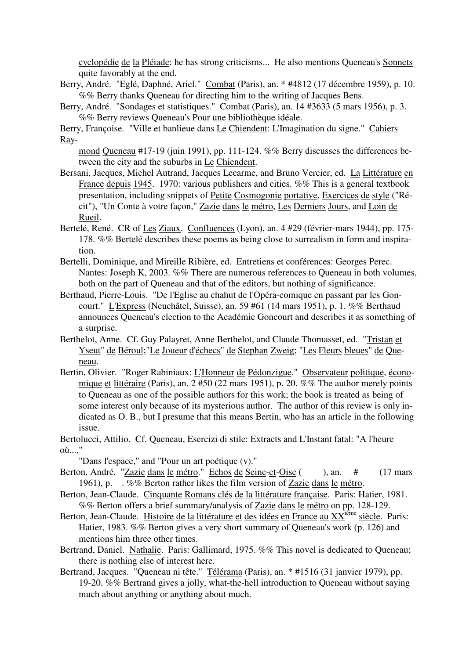cyclopédie de la Pléiade: he has strong criticisms... He also mentions Queneau's Sonnets quite favorably at the end.

- Berry, André. "Eglé, Daphné, Ariel." Combat (Paris), an. \* #4812 (17 décembre 1959), p. 10. %% Berry thanks Queneau for directing him to the writing of Jacques Bens.
- Berry, André. "Sondages et statistiques." Combat (Paris), an. 14 #3633 (5 mars 1956), p. 3. %% Berry reviews Queneau's Pour une bibliothèque idéale.

Berry, Françoise. "Ville et banlieue dans Le Chiendent: L'Imagination du signe." Cahiers Ray-

mond Queneau #17-19 (juin 1991), pp. 111-124. %% Berry discusses the differences between the city and the suburbs in Le Chiendent.

- Bersani, Jacques, Michel Autrand, Jacques Lecarme, and Bruno Vercier, ed. La Littérature en France depuis 1945. 1970: various publishers and cities. %% This is a general textbook presentation, including snippets of Petite Cosmogonie portative, Exercices de style ("Récit"), "Un Conte à votre façon," Zazie dans le métro, Les Derniers Jours, and Loin de Rueil.
- Bertelé, René. CR of Les Ziaux. Confluences (Lyon), an. 4 #29 (février-mars 1944), pp. 175- 178. %% Bertelé describes these poems as being close to surrealism in form and inspiration.
- Bertelli, Dominique, and Mireille Ribière, ed. Entretiens et conférences: Georges Perec. Nantes: Joseph K, 2003. %% There are numerous references to Queneau in both volumes, both on the part of Queneau and that of the editors, but nothing of significance.
- Berthaud, Pierre-Louis. "De l'Eglise au chahut de l'Opéra-comique en passant par les Goncourt." L'Express (Neuchâtel, Suisse), an. 59 #61 (14 mars 1951), p. 1. %% Berthaud announces Queneau's election to the Académie Goncourt and describes it as something of a surprise.
- Berthelot, Anne. Cf. Guy Palayret, Anne Berthelot, and Claude Thomasset, ed. "Tristan et Yseut" de Béroul;"Le Joueur d'échecs" de Stephan Zweig; "Les Fleurs bleues" de Queneau.
- Bertin, Olivier. "Roger Rabiniaux: L'Honneur de Pédonzigue." Observateur politique, économique et littéraire (Paris), an. 2 #50 (22 mars 1951), p. 20. %% The author merely points to Queneau as one of the possible authors for this work; the book is treated as being of some interest only because of its mysterious author. The author of this review is only indicated as O. B., but I presume that this means Bertin, who has an article in the following issue.
- Bertolucci, Attilio. Cf. Queneau, Esercizi di stile: Extracts and L'Instant fatal: "A l'heure où...,"

"Dans l'espace," and "Pour un art poétique (v)."

- Berton, André. "Zazie dans le métro." Echos de Seine-et-Oise (), an. # (17 mars 1961), p. . %% Berton rather likes the film version of Zazie dans le métro.
- Berton, Jean-Claude. Cinquante Romans clés de la littérature française. Paris: Hatier, 1981. %% Berton offers a brief summary/analysis of Zazie dans le métro on pp. 128-129.
- Berton, Jean-Claude. Histoire de la littérature et des idées en France au XX<sup>ième</sup> siècle. Paris: Hatier, 1983. %% Berton gives a very short summary of Queneau's work (p. 126) and mentions him three other times.
- Bertrand, Daniel. Nathalie. Paris: Gallimard, 1975. %% This novel is dedicated to Queneau; there is nothing else of interest here.
- Bertrand, Jacques. "Queneau ni tête." Télérama (Paris), an. \* #1516 (31 janvier 1979), pp. 19-20. %% Bertrand gives a jolly, what-the-hell introduction to Queneau without saying much about anything or anything about much.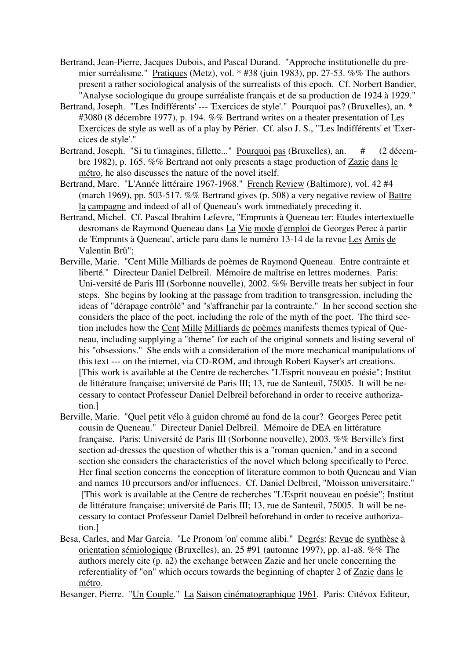- Bertrand, Jean-Pierre, Jacques Dubois, and Pascal Durand. "Approche institutionelle du premier surréalisme." Pratiques (Metz), vol. \* #38 (juin 1983), pp. 27-53. %% The authors present a rather sociological analysis of the surrealists of this epoch. Cf. Norbert Bandier, "Analyse sociologique du groupe surréaliste français et de sa production de 1924 à 1929."
- Bertrand, Joseph. "'Les Indifférents' --- 'Exercices de style'." Pourquoi pas? (Bruxelles), an. \* #3080 (8 décembre 1977), p. 194. %% Bertrand writes on a theater presentation of Les Exercices de style as well as of a play by Périer. Cf. also J. S., "'Les Indifférents' et 'Exercices de style'."
- Bertrand, Joseph. "Si tu t'imagines, fillette..." Pourquoi pas (Bruxelles), an. # (2 décembre 1982), p. 165. %% Bertrand not only presents a stage production of Zazie dans le métro, he also discusses the nature of the novel itself.
- Bertrand, Marc. "L'Année littéraire 1967-1968." French Review (Baltimore), vol. 42 #4 (march 1969), pp. 503-517. %% Bertrand gives (p. 508) a very negative review of Battre la campagne and indeed of all of Queneau's work immediately preceding it.
- Bertrand, Michel. Cf. Pascal Ibrahim Lefevre, "Emprunts à Queneau ter: Etudes intertextuelle desromans de Raymond Queneau dans La Vie mode d'emploi de Georges Perec à partir de 'Emprunts à Queneau', article paru dans le numéro 13-14 de la revue Les Amis de Valentin Brû";
- Berville, Marie. "Cent Mille Milliards de poèmes de Raymond Queneau. Entre contrainte et liberté." Directeur Daniel Delbreil. Mémoire de maîtrise en lettres modernes. Paris: Uni-versité de Paris III (Sorbonne nouvelle), 2002. %% Berville treats her subject in four steps. She begins by looking at the passage from tradition to transgression, including the ideas of "dérapage contrôlé" and "s'affranchir par la contrainte." In her second section she considers the place of the poet, including the role of the myth of the poet. The third section includes how the Cent Mille Milliards de poèmes manifests themes typical of Queneau, including supplying a "theme" for each of the original sonnets and listing several of his "obsessions." She ends with a consideration of the more mechanical manipulations of this text --- on the internet, via CD-ROM, and through Robert Kayser's art creations. [This work is available at the Centre de recherches "L'Esprit nouveau en poésie"; Institut de littérature française; université de Paris III; 13, rue de Santeuil, 75005. It will be necessary to contact Professeur Daniel Delbreil beforehand in order to receive authorization.]
- Berville, Marie. "Quel petit vélo à guidon chromé au fond de la cour? Georges Perec petit cousin de Queneau." Directeur Daniel Delbreil. Mémoire de DEA en littérature française. Paris: Université de Paris III (Sorbonne nouvelle), 2003. %% Berville's first section ad-dresses the question of whether this is a "roman quenien," and in a second section she considers the characteristics of the novel which belong specifically to Perec. Her final section concerns the conception of literature common to both Queneau and Vian and names 10 precursors and/or influences. Cf. Daniel Delbreil, "Moisson universitaire." [This work is available at the Centre de recherches "L'Esprit nouveau en poésie"; Institut de littérature française; université de Paris III; 13, rue de Santeuil, 75005. It will be necessary to contact Professeur Daniel Delbreil beforehand in order to receive authorization.]
- Besa, Carles, and Mar Garcia. "Le Pronom 'on' comme alibi." Degrés: Revue de synthèse à orientation sémiologique (Bruxelles), an. 25 #91 (automne 1997), pp. a1-a8. %% The authors merely cite (p. a2) the exchange between Zazie and her uncle concerning the referentiality of "on" which occurs towards the beginning of chapter 2 of Zazie dans le métro.

Besanger, Pierre. "Un Couple." La Saison cinématographique 1961. Paris: Citévox Editeur,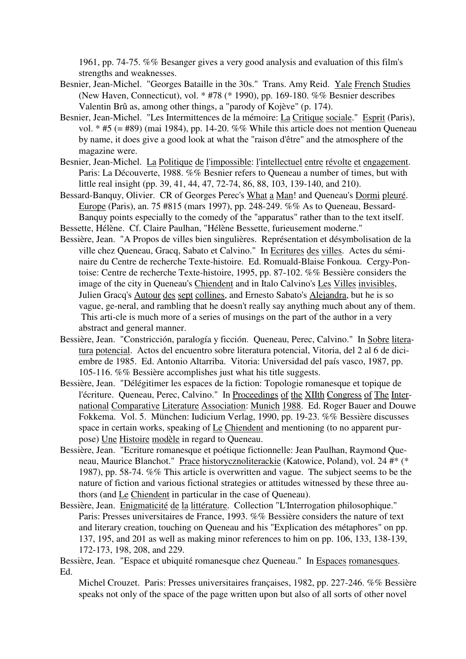1961, pp. 74-75. %% Besanger gives a very good analysis and evaluation of this film's strengths and weaknesses.

- Besnier, Jean-Michel. "Georges Bataille in the 30s." Trans. Amy Reid. Yale French Studies (New Haven, Connecticut), vol. \* #78 (\* 1990), pp. 169-180. %% Besnier describes Valentin Brû as, among other things, a "parody of Kojève" (p. 174).
- Besnier, Jean-Michel. "Les Intermittences de la mémoire: La Critique sociale." Esprit (Paris), vol.  $*$  #5 (= #89) (mai 1984), pp. 14-20. %% While this article does not mention Queneau by name, it does give a good look at what the "raison d'être" and the atmosphere of the magazine were.
- Besnier, Jean-Michel. La Politique de l'impossible: l'intellectuel entre révolte et engagement. Paris: La Découverte, 1988. %% Besnier refers to Queneau a number of times, but with little real insight (pp. 39, 41, 44, 47, 72-74, 86, 88, 103, 139-140, and 210).
- Bessard-Banquy, Olivier. CR of Georges Perec's What a Man! and Queneau's Dormi pleuré. Europe (Paris), an. 75 #815 (mars 1997), pp. 248-249. %% As to Queneau, Bessard-Banquy points especially to the comedy of the "apparatus" rather than to the text itself.
- Bessette, Hélène. Cf. Claire Paulhan, "Hélène Bessette, furieusement moderne."
- Bessière, Jean. "A Propos de villes bien singulières. Représentation et désymbolisation de la ville chez Queneau, Gracq, Sabato et Calvino." In Ecritures des villes. Actes du séminaire du Centre de recherche Texte-histoire. Ed. Romuald-Blaise Fonkoua. Cergy-Pontoise: Centre de recherche Texte-histoire, 1995, pp. 87-102. %% Bessière considers the image of the city in Queneau's Chiendent and in Italo Calvino's Les Villes invisibles, Julien Gracq's Autour des sept collines, and Ernesto Sabato's Alejandra, but he is so vague, ge-neral, and rambling that he doesn't really say anything much about any of them. This arti-cle is much more of a series of musings on the part of the author in a very abstract and general manner.
- Bessière, Jean. "Constricción, paralogía y ficción. Queneau, Perec, Calvino." In Sobre literatura potencial. Actos del encuentro sobre literatura potencial, Vitoria, del 2 al 6 de diciembre de 1985. Ed. Antonio Altarriba. Vitoria: Universidad del país vasco, 1987, pp. 105-116. %% Bessière accomplishes just what his title suggests.
- Bessière, Jean. "Délégitimer les espaces de la fiction: Topologie romanesque et topique de l'écriture. Queneau, Perec, Calvino." In Proceedings of the XIIth Congress of The International Comparative Literature Association: Munich 1988. Ed. Roger Bauer and Douwe Fokkema. Vol. 5. München: Iudicium Verlag, 1990, pp. 19-23. %% Bessière discusses space in certain works, speaking of Le Chiendent and mentioning (to no apparent purpose) Une Histoire modèle in regard to Queneau.
- Bessière, Jean. "Ecriture romanesque et poétique fictionnelle: Jean Paulhan, Raymond Queneau, Maurice Blanchot." Prace historycznoliterackie (Katowice, Poland), vol. 24 #\* (\* 1987), pp. 58-74. %% This article is overwritten and vague. The subject seems to be the nature of fiction and various fictional strategies or attitudes witnessed by these three authors (and Le Chiendent in particular in the case of Queneau).
- Bessière, Jean. Enigmaticité de la littérature. Collection "L'Interrogation philosophique." Paris: Presses universitaires de France, 1993. %% Bessière considers the nature of text and literary creation, touching on Queneau and his "Explication des métaphores" on pp. 137, 195, and 201 as well as making minor references to him on pp. 106, 133, 138-139, 172-173, 198, 208, and 229.

Bessière, Jean. "Espace et ubiquité romanesque chez Queneau." In Espaces romanesques. Ed.

Michel Crouzet. Paris: Presses universitaires françaises, 1982, pp. 227-246. %% Bessière speaks not only of the space of the page written upon but also of all sorts of other novel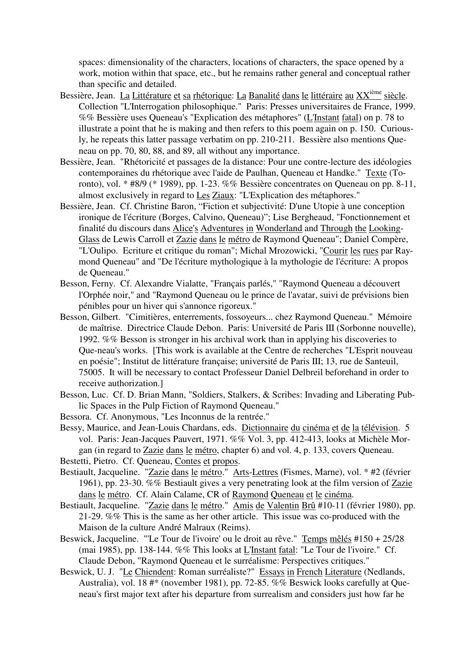spaces: dimensionality of the characters, locations of characters, the space opened by a work, motion within that space, etc., but he remains rather general and conceptual rather than specific and detailed.

- Bessière, Jean. La Littérature et sa rhétorique: La Banalité dans le littéraire au XX<sup>ième</sup> siècle. Collection "L'Interrogation philosophique." Paris: Presses universitaires de France, 1999. %% Bessière uses Queneau's "Explication des métaphores" (L'Instant fatal) on p. 78 to illustrate a point that he is making and then refers to this poem again on p. 150. Curiously, he repeats this latter passage verbatim on pp. 210-211. Bessière also mentions Queneau on pp. 70, 80, 88, and 89, all without any importance.
- Bessière, Jean. "Rhétoricité et passages de la distance: Pour une contre-lecture des idéologies contemporaines du rhétorique avec l'aide de Paulhan, Queneau et Handke." Texte (Toronto), vol. \* #8/9 (\* 1989), pp. 1-23. %% Bessière concentrates on Queneau on pp. 8-11, almost exclusively in regard to Les Ziaux: "L'Explication des métaphores."
- Bessière, Jean. Cf. Christine Baron, "Fiction et subjectivité: D'une Utopie à une conception ironique de l'écriture (Borges, Calvino, Queneau)"; Lise Bergheaud, "Fonctionnement et finalité du discours dans Alice's Adventures in Wonderland and Through the Looking-Glass de Lewis Carroll et Zazie dans le métro de Raymond Queneau"; Daniel Compère, "L'Oulipo. Ecriture et critique du roman"; Michal Mrozowicki, "Courir les rues par Raymond Queneau" and "De l'écriture mythologique à la mythologie de l'écriture: A propos de Queneau."
- Besson, Ferny. Cf. Alexandre Vialatte, "Français parlés," "Raymond Queneau a découvert l'Orphée noir," and "Raymond Queneau ou le prince de l'avatar, suivi de prévisions bien pénibles pour un hiver qui s'annonce rigoreux."
- Besson, Gilbert. "Cimitières, enterrements, fossoyeurs... chez Raymond Queneau." Mémoire de maîtrise. Directrice Claude Debon. Paris: Université de Paris III (Sorbonne nouvelle), 1992. %% Besson is stronger in his archival work than in applying his discoveries to Que-neau's works. [This work is available at the Centre de recherches "L'Esprit nouveau en poésie"; Institut de littérature française; université de Paris III; 13, rue de Santeuil, 75005. It will be necessary to contact Professeur Daniel Delbreil beforehand in order to receive authorization.]
- Besson, Luc. Cf. D. Brian Mann, "Soldiers, Stalkers, & Scribes: Invading and Liberating Public Spaces in the Pulp Fiction of Raymond Queneau."
- Bessora. Cf. Anonymous, "Les Inconnus de la rentrée."

Bessy, Maurice, and Jean-Louis Chardans, eds. Dictionnaire du cinéma et de la télévision. 5 vol. Paris: Jean-Jacques Pauvert, 1971. %% Vol. 3, pp. 412-413, looks at Michèle Morgan (in regard to Zazie dans le métro, chapter 6) and vol. 4, p. 133, covers Queneau.

Bestetti, Pietro. Cf. Queneau, Contes et propos.

- Bestiault, Jacqueline. "Zazie dans le métro." Arts-Lettres (Fismes, Marne), vol. \* #2 (février 1961), pp. 23-30. %% Bestiault gives a very penetrating look at the film version of Zazie dans le métro. Cf. Alain Calame, CR of Raymond Queneau et le cinéma.
- Bestiault, Jacqueline. "Zazie dans le métro." Amis de Valentin Brû #10-11 (février 1980), pp. 21-29. %% This is the same as her other article. This issue was co-produced with the Maison de la culture André Malraux (Reims).
- Beswick, Jacqueline. "'Le Tour de l'ivoire' ou le droit au rêve." Temps mêlés #150 + 25/28 (mai 1985), pp. 138-144. %% This looks at L'Instant fatal: "Le Tour de l'ivoire." Cf. Claude Debon, "Raymond Queneau et le surréalisme: Perspectives critiques."
- Beswick, U. J. "Le Chiendent: Roman surréaliste?" Essays in French Literature (Nedlands, Australia), vol. 18 #\* (november 1981), pp. 72-85. %% Beswick looks carefully at Queneau's first major text after his departure from surrealism and considers just how far he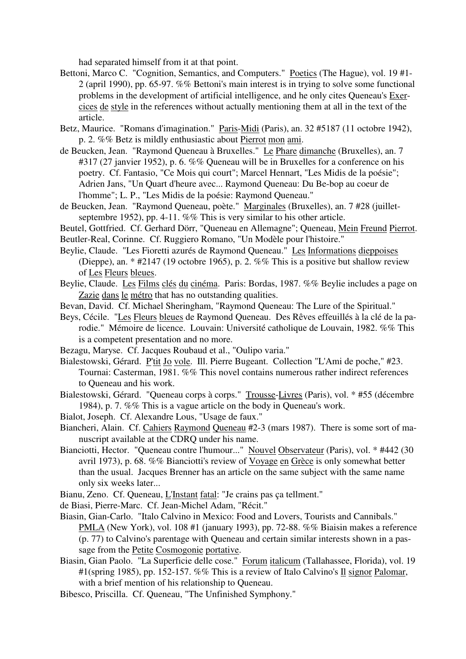had separated himself from it at that point.

- Bettoni, Marco C. "Cognition, Semantics, and Computers." Poetics (The Hague), vol. 19 #1- 2 (april 1990), pp. 65-97. %% Bettoni's main interest is in trying to solve some functional problems in the development of artificial intelligence, and he only cites Queneau's Exercices de style in the references without actually mentioning them at all in the text of the article.
- Betz, Maurice. "Romans d'imagination." Paris-Midi (Paris), an. 32 #5187 (11 octobre 1942), p. 2. %% Betz is mildly enthusiastic about Pierrot mon ami.
- de Beucken, Jean. "Raymond Queneau à Bruxelles." Le Phare dimanche (Bruxelles), an. 7 #317 (27 janvier 1952), p. 6. %% Queneau will be in Bruxelles for a conference on his poetry. Cf. Fantasio, "Ce Mois qui court"; Marcel Hennart, "Les Midis de la poésie"; Adrien Jans, "Un Quart d'heure avec... Raymond Queneau: Du Be-bop au coeur de l'homme"; L. P., "Les Midis de la poésie: Raymond Queneau."
- de Beucken, Jean. "Raymond Queneau, poète." Marginales (Bruxelles), an. 7 #28 (juilletseptembre 1952), pp. 4-11. %% This is very similar to his other article.
- Beutel, Gottfried. Cf. Gerhard Dörr, "Queneau en Allemagne"; Queneau, Mein Freund Pierrot. Beutler-Real, Corinne. Cf. Ruggiero Romano, "Un Modèle pour l'histoire."
- Beylie, Claude. "Les Fioretti azurés de Raymond Queneau." Les Informations dieppoises (Dieppe), an. \* #2147 (19 octobre 1965), p. 2. %% This is a positive but shallow review of Les Fleurs bleues.
- Beylie, Claude. Les Films clés du cinéma. Paris: Bordas, 1987. %% Beylie includes a page on Zazie dans le métro that has no outstanding qualities.
- Bevan, David. Cf. Michael Sheringham, "Raymond Queneau: The Lure of the Spiritual."
- Beys, Cécile. "Les Fleurs bleues de Raymond Queneau. Des Rêves effeuillés à la clé de la parodie." Mémoire de licence. Louvain: Université catholique de Louvain, 1982. %% This is a competent presentation and no more.
- Bezagu, Maryse. Cf. Jacques Roubaud et al., "Oulipo varia."
- Bialestowski, Gérard. P'tit Jo vole. Ill. Pierre Bugeant. Collection "L'Ami de poche," #23. Tournai: Casterman, 1981. %% This novel contains numerous rather indirect references to Queneau and his work.
- Bialestowski, Gérard. "Queneau corps à corps." Trousse-Livres (Paris), vol. \* #55 (décembre 1984), p. 7. %% This is a vague article on the body in Queneau's work.
- Bialot, Joseph. Cf. Alexandre Lous, "Usage de faux."
- Biancheri, Alain. Cf. Cahiers Raymond Queneau #2-3 (mars 1987). There is some sort of manuscript available at the CDRQ under his name.
- Bianciotti, Hector. "Queneau contre l'humour..." Nouvel Observateur (Paris), vol. \* #442 (30 avril 1973), p. 68. %% Bianciotti's review of Voyage en Grèce is only somewhat better than the usual. Jacques Brenner has an article on the same subject with the same name only six weeks later...
- Bianu, Zeno. Cf. Queneau, L'Instant fatal: "Je crains pas ça tellment."
- de Biasi, Pierre-Marc. Cf. Jean-Michel Adam, "Récit."
- Biasin, Gian-Carlo. "Italo Calvino in Mexico: Food and Lovers, Tourists and Cannibals." PMLA (New York), vol. 108 #1 (january 1993), pp. 72-88. %% Biaisin makes a reference (p. 77) to Calvino's parentage with Queneau and certain similar interests shown in a passage from the Petite Cosmogonie portative.
- Biasin, Gian Paolo. "La Superficie delle cose." Forum italicum (Tallahassee, Florida), vol. 19 #1(spring 1985), pp. 152-157. %% This is a review of Italo Calvino's Il signor Palomar, with a brief mention of his relationship to Queneau.
- Bibesco, Priscilla. Cf. Queneau, "The Unfinished Symphony."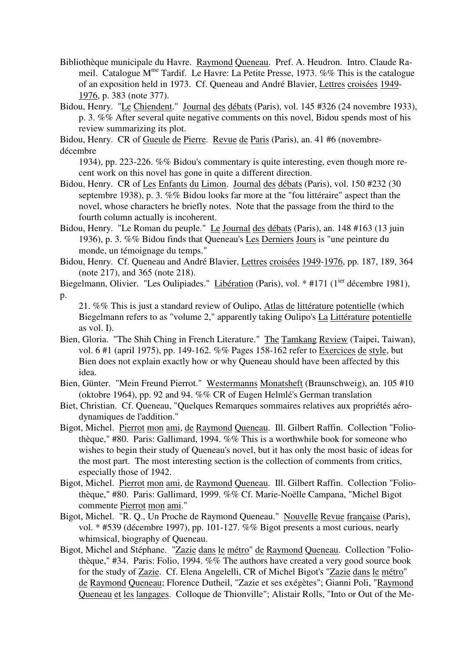Bibliothèque municipale du Havre. Raymond Queneau. Pref. A. Heudron. Intro. Claude Rameil. Catalogue  $M^{me}$  Tardif. Le Havre: La Petite Presse, 1973. %% This is the catalogue of an exposition held in 1973. Cf. Queneau and André Blavier, Lettres croisées 1949- 1976, p. 383 (note 377).

Bidou, Henry. "Le Chiendent." Journal des débats (Paris), vol. 145 #326 (24 novembre 1933), p. 3. %% After several quite negative comments on this novel, Bidou spends most of his review summarizing its plot.

Bidou, Henry. CR of Gueule de Pierre. Revue de Paris (Paris), an. 41 #6 (novembre-

décembre

1934), pp. 223-226. %% Bidou's commentary is quite interesting, even though more recent work on this novel has gone in quite a different direction.

- Bidou, Henry. CR of Les Enfants du Limon. Journal des débats (Paris), vol. 150 #232 (30 septembre 1938), p. 3. %% Bidou looks far more at the "fou littéraire" aspect than the novel, whose characters he briefly notes. Note that the passage from the third to the fourth column actually is incoherent.
- Bidou, Henry. "Le Roman du peuple." Le Journal des débats (Paris), an. 148 #163 (13 juin 1936), p. 3. %% Bidou finds that Queneau's Les Derniers Jours is "une peinture du monde, un témoignage du temps."
- Bidou, Henry. Cf. Queneau and André Blavier, Lettres croisées 1949-1976, pp. 187, 189, 364 (note 217), and 365 (note 218).
- Biegelmann, Olivier. "Les Oulipiades." Libération (Paris), vol. \* #171 (1<sup>ier</sup> décembre 1981),

p.

21. %% This is just a standard review of Oulipo, Atlas de littérature potentielle (which Biegelmann refers to as "volume 2," apparently taking Oulipo's La Littérature potentielle as vol. I).

- Bien, Gloria. "The Shih Ching in French Literature." The Tamkang Review (Taipei, Taiwan), vol. 6 #1 (april 1975), pp. 149-162. %% Pages 158-162 refer to Exercices de style, but Bien does not explain exactly how or why Queneau should have been affected by this idea.
- Bien, Günter. "Mein Freund Pierrot." Westermanns Monatsheft (Braunschweig), an. 105 #10 (oktobre 1964), pp. 92 and 94. %% CR of Eugen Helmlé's German translation
- Biet, Christian. Cf. Queneau, "Quelques Remarques sommaires relatives aux propriétés aérodynamiques de l'addition."
- Bigot, Michel. Pierrot mon ami, de Raymond Queneau. Ill. Gilbert Raffin. Collection "Foliothèque," #80. Paris: Gallimard, 1994. %% This is a worthwhile book for someone who wishes to begin their study of Queneau's novel, but it has only the most basic of ideas for the most part. The most interesting section is the collection of comments from critics, especially those of 1942.
- Bigot, Michel. Pierrot mon ami, de Raymond Queneau. Ill. Gilbert Raffin. Collection "Foliothèque," #80. Paris: Gallimard, 1999. %% Cf. Marie-Noëlle Campana, "Michel Bigot commente Pierrot mon ami."
- Bigot, Michel. "R. Q., Un Proche de Raymond Queneau." Nouvelle Revue française (Paris), vol. \* #539 (décembre 1997), pp. 101-127. %% Bigot presents a most curious, nearly whimsical, biography of Queneau.
- Bigot, Michel and Stéphane. "Zazie dans le métro" de Raymond Queneau. Collection "Foliothèque," #34. Paris: Folio, 1994. %% The authors have created a very good source book for the study of Zazie. Cf. Elena Angelelli, CR of Michel Bigot's "Zazie dans le métro" de Raymond Queneau; Florence Dutheil, "Zazie et ses exégètes"; Gianni Poli, "Raymond Queneau et les langages. Colloque de Thionville"; Alistair Rolls, "Into or Out of the Me-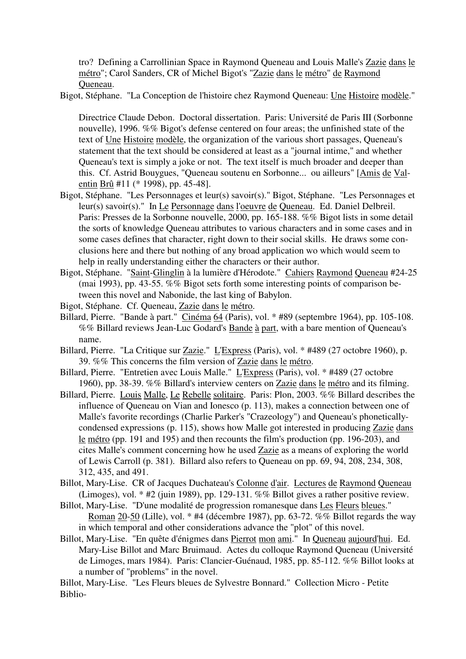tro? Defining a Carrollinian Space in Raymond Queneau and Louis Malle's Zazie dans le métro"; Carol Sanders, CR of Michel Bigot's "Zazie dans le métro" de Raymond Queneau.

Bigot, Stéphane. "La Conception de l'histoire chez Raymond Queneau: Une Histoire modèle."

Directrice Claude Debon. Doctoral dissertation. Paris: Université de Paris III (Sorbonne nouvelle), 1996. %% Bigot's defense centered on four areas; the unfinished state of the text of Une Histoire modèle, the organization of the various short passages, Queneau's statement that the text should be considered at least as a "journal intime," and whether Queneau's text is simply a joke or not. The text itself is much broader and deeper than this. Cf. Astrid Bouygues, "Queneau soutenu en Sorbonne... ou ailleurs" [Amis de Valentin Brû #11 (\* 1998), pp. 45-48].

- Bigot, Stéphane. "Les Personnages et leur(s) savoir(s)." Bigot, Stéphane. "Les Personnages et leur(s) savoir(s)." In Le Personnage dans l'oeuvre de Queneau. Ed. Daniel Delbreil. Paris: Presses de la Sorbonne nouvelle, 2000, pp. 165-188. %% Bigot lists in some detail the sorts of knowledge Queneau attributes to various characters and in some cases and in some cases defines that character, right down to their social skills. He draws some conclusions here and there but nothing of any broad application wo which would seem to help in really understanding either the characters or their author.
- Bigot, Stéphane. "Saint-Glinglin à la lumière d'Hérodote." Cahiers Raymond Queneau #24-25 (mai 1993), pp. 43-55. %% Bigot sets forth some interesting points of comparison between this novel and Nabonide, the last king of Babylon.
- Bigot, Stéphane. Cf. Queneau, Zazie dans le métro.
- Billard, Pierre. "Bande à part." Cinéma 64 (Paris), vol. \* #89 (septembre 1964), pp. 105-108. %% Billard reviews Jean-Luc Godard's Bande à part, with a bare mention of Queneau's name.
- Billard, Pierre. "La Critique sur Zazie." L'Express (Paris), vol. \* #489 (27 octobre 1960), p. 39. %% This concerns the film version of Zazie dans le métro.
- Billard, Pierre. "Entretien avec Louis Malle." L'Express (Paris), vol. \* #489 (27 octobre 1960), pp. 38-39. %% Billard's interview centers on Zazie dans le métro and its filming.
- Billard, Pierre. Louis Malle, Le Rebelle solitaire. Paris: Plon, 2003. %% Billard describes the influence of Queneau on Vian and Ionesco (p. 113), makes a connection between one of Malle's favorite recordings (Charlie Parker's "Crazeology") and Queneau's phoneticallycondensed expressions (p. 115), shows how Malle got interested in producing Zazie dans le métro (pp. 191 and 195) and then recounts the film's production (pp. 196-203), and cites Malle's comment concerning how he used Zazie as a means of exploring the world of Lewis Carroll (p. 381). Billard also refers to Queneau on pp. 69, 94, 208, 234, 308, 312, 435, and 491.
- Billot, Mary-Lise. CR of Jacques Duchateau's Colonne d'air. Lectures de Raymond Queneau (Limoges), vol. \* #2 (juin 1989), pp. 129-131. %% Billot gives a rather positive review.
- Billot, Mary-Lise. "D'une modalité de progression romanesque dans Les Fleurs bleues." Roman 20-50 (Lille), vol. \* #4 (décembre 1987), pp. 63-72. %% Billot regards the way in which temporal and other considerations advance the "plot" of this novel.
- Billot, Mary-Lise. "En quête d'énigmes dans Pierrot mon ami." In Queneau aujourd'hui. Ed. Mary-Lise Billot and Marc Bruimaud. Actes du colloque Raymond Queneau (Université de Limoges, mars 1984). Paris: Clancier-Guénaud, 1985, pp. 85-112. %% Billot looks at a number of "problems" in the novel.

Billot, Mary-Lise. "Les Fleurs bleues de Sylvestre Bonnard." Collection Micro - Petite Biblio-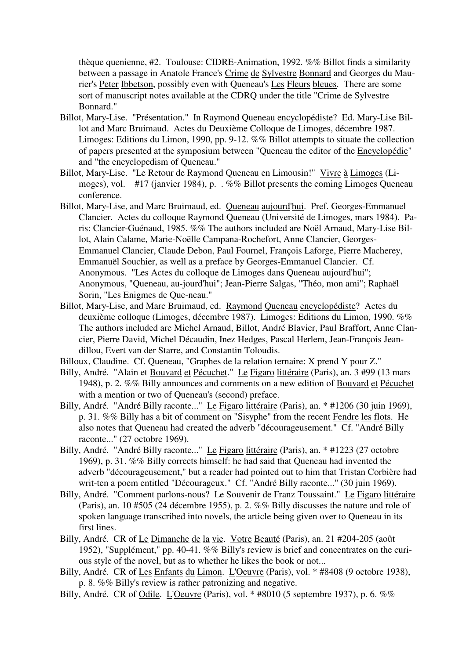thèque quenienne, #2. Toulouse: CIDRE-Animation, 1992. %% Billot finds a similarity between a passage in Anatole France's Crime de Sylvestre Bonnard and Georges du Maurier's Peter Ibbetson, possibly even with Queneau's Les Fleurs bleues. There are some sort of manuscript notes available at the CDRQ under the title "Crime de Sylvestre Bonnard."

- Billot, Mary-Lise. "Présentation." In Raymond Queneau encyclopédiste? Ed. Mary-Lise Billot and Marc Bruimaud. Actes du Deuxième Colloque de Limoges, décembre 1987. Limoges: Editions du Limon, 1990, pp. 9-12. %% Billot attempts to situate the collection of papers presented at the symposium between "Queneau the editor of the Encyclopédie" and "the encyclopedism of Queneau."
- Billot, Mary-Lise. "Le Retour de Raymond Queneau en Limousin!" Vivre à Limoges (Limoges), vol. #17 (janvier 1984), p. . %% Billot presents the coming Limoges Queneau conference.
- Billot, Mary-Lise, and Marc Bruimaud, ed. Queneau aujourd'hui. Pref. Georges-Emmanuel Clancier. Actes du colloque Raymond Queneau (Université de Limoges, mars 1984). Paris: Clancier-Guénaud, 1985. %% The authors included are Noël Arnaud, Mary-Lise Billot, Alain Calame, Marie-Noëlle Campana-Rochefort, Anne Clancier, Georges-Emmanuel Clancier, Claude Debon, Paul Fournel, François Laforge, Pierre Macherey, Emmanuël Souchier, as well as a preface by Georges-Emmanuel Clancier. Cf. Anonymous. "Les Actes du colloque de Limoges dans Queneau aujourd'hui"; Anonymous, "Queneau, au-jourd'hui"; Jean-Pierre Salgas, "Théo, mon ami"; Raphaël Sorin, "Les Enigmes de Que-neau."
- Billot, Mary-Lise, and Marc Bruimaud, ed. Raymond Queneau encyclopédiste? Actes du deuxième colloque (Limoges, décembre 1987). Limoges: Editions du Limon, 1990. %% The authors included are Michel Arnaud, Billot, André Blavier, Paul Braffort, Anne Clancier, Pierre David, Michel Décaudin, Inez Hedges, Pascal Herlem, Jean-François Jeandillou, Evert van der Starre, and Constantin Toloudis.
- Billoux, Claudine. Cf. Queneau, "Graphes de la relation ternaire: X prend Y pour Z."
- Billy, André. "Alain et Bouvard et Pécuchet." Le Figaro littéraire (Paris), an. 3 #99 (13 mars 1948), p. 2. %% Billy announces and comments on a new edition of Bouvard et Pécuchet with a mention or two of Queneau's (second) preface.
- Billy, André. "André Billy raconte..." Le Figaro littéraire (Paris), an. \* #1206 (30 juin 1969), p. 31. %% Billy has a bit of comment on "Sisyphe" from the recent Fendre les flots. He also notes that Queneau had created the adverb "décourageusement." Cf. "André Billy raconte..." (27 octobre 1969).
- Billy, André. "André Billy raconte..." Le Figaro littéraire (Paris), an. \* #1223 (27 octobre 1969), p. 31. %% Billy corrects himself: he had said that Queneau had invented the adverb "décourageusement," but a reader had pointed out to him that Tristan Corbière had writ-ten a poem entitled "Décourageux." Cf. "André Billy raconte..." (30 juin 1969).
- Billy, André. "Comment parlons-nous? Le Souvenir de Franz Toussaint." Le Figaro littéraire (Paris), an. 10 #505 (24 décembre 1955), p. 2. %% Billy discusses the nature and role of spoken language transcribed into novels, the article being given over to Queneau in its first lines.
- Billy, André. CR of Le Dimanche de la vie. Votre Beauté (Paris), an. 21 #204-205 (août 1952), "Supplément," pp. 40-41. %% Billy's review is brief and concentrates on the curious style of the novel, but as to whether he likes the book or not...
- Billy, André. CR of Les Enfants du Limon. L'Oeuvre (Paris), vol. \* #8408 (9 octobre 1938), p. 8. %% Billy's review is rather patronizing and negative.
- Billy, André. CR of <u>Odile. L'Oeuvre</u> (Paris), vol. \* #8010 (5 septembre 1937), p. 6. %%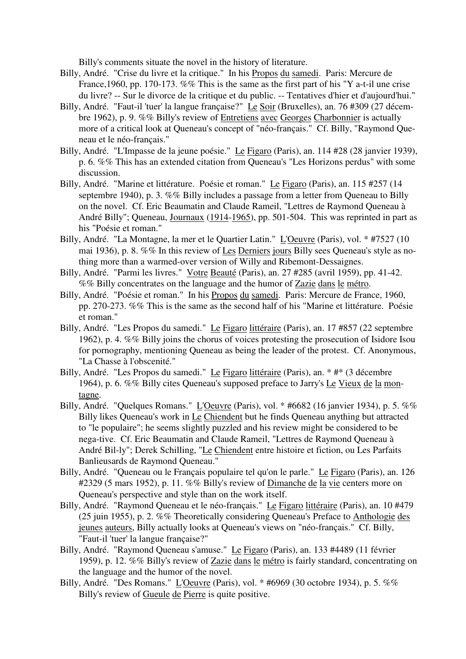Billy's comments situate the novel in the history of literature.

- Billy, André. "Crise du livre et la critique." In his Propos du samedi. Paris: Mercure de France, 1960, pp. 170-173. %% This is the same as the first part of his "Y a-t-il une crise du livre? -- Sur le divorce de la critique et du public. -- Tentatives d'hier et d'aujourd'hui."
- Billy, André. "Faut-il 'tuer' la langue française?" Le Soir (Bruxelles), an. 76 #309 (27 décembre 1962), p. 9. %% Billy's review of Entretiens avec Georges Charbonnier is actually more of a critical look at Queneau's concept of "néo-français." Cf. Billy, "Raymond Queneau et le néo-français."
- Billy, André. "L'Impasse de la jeune poésie." Le Figaro (Paris), an. 114 #28 (28 janvier 1939), p. 6. %% This has an extended citation from Queneau's "Les Horizons perdus" with some discussion.
- Billy, André. "Marine et littérature. Poésie et roman." Le Figaro (Paris), an. 115 #257 (14 septembre 1940), p. 3. %% Billy includes a passage from a letter from Queneau to Billy on the novel. Cf. Eric Beaumatin and Claude Rameil, "Lettres de Raymond Queneau à André Billy"; Queneau, Journaux (1914-1965), pp. 501-504. This was reprinted in part as his "Poésie et roman."
- Billy, André. "La Montagne, la mer et le Quartier Latin." L'Oeuvre (Paris), vol. \* #7527 (10 mai 1936), p. 8. %% In this review of Les Derniers jours Billy sees Queneau's style as nothing more than a warmed-over version of Willy and Ribemont-Dessaignes.
- Billy, André. "Parmi les livres." Votre Beauté (Paris), an. 27 #285 (avril 1959), pp. 41-42. %% Billy concentrates on the language and the humor of Zazie dans le métro.
- Billy, André. "Poésie et roman." In his Propos du samedi. Paris: Mercure de France, 1960, pp. 270-273. %% This is the same as the second half of his "Marine et littérature. Poésie et roman."
- Billy, André. "Les Propos du samedi." Le Figaro littéraire (Paris), an. 17 #857 (22 septembre 1962), p. 4. %% Billy joins the chorus of voices protesting the prosecution of Isidore Isou for pornography, mentioning Queneau as being the leader of the protest. Cf. Anonymous, "La Chasse à l'obscenité."
- Billy, André. "Les Propos du samedi." Le Figaro littéraire (Paris), an. \* #\* (3 décembre 1964), p. 6. %% Billy cites Queneau's supposed preface to Jarry's Le Vieux de la montagne.
- Billy, André. "Quelques Romans." L'Oeuvre (Paris), vol. \* #6682 (16 janvier 1934), p. 5. %% Billy likes Queneau's work in Le Chiendent but he finds Queneau anything but attracted to "le populaire"; he seems slightly puzzled and his review might be considered to be nega-tive. Cf. Eric Beaumatin and Claude Rameil, "Lettres de Raymond Queneau à André Bil-ly"; Derek Schilling, "Le Chiendent entre histoire et fiction, ou Les Parfaits Banlieusards de Raymond Queneau."
- Billy, André. "Queneau ou le Français populaire tel qu'on le parle." Le Figaro (Paris), an. 126 #2329 (5 mars 1952), p. 11. %% Billy's review of Dimanche de la vie centers more on Queneau's perspective and style than on the work itself.
- Billy, André. "Raymond Queneau et le néo-français." Le Figaro littéraire (Paris), an. 10 #479 (25 juin 1955), p. 2. %% Theoretically considering Queneau's Preface to Anthologie des jeunes auteurs, Billy actually looks at Queneau's views on "néo-français." Cf. Billy, "Faut-il 'tuer' la langue française?"
- Billy, André. "Raymond Queneau s'amuse." Le Figaro (Paris), an. 133 #4489 (11 février 1959), p. 12. %% Billy's review of Zazie dans le métro is fairly standard, concentrating on the language and the humor of the novel.
- Billy, André. "Des Romans." L'Oeuvre (Paris), vol. \* #6969 (30 octobre 1934), p. 5. %% Billy's review of Gueule de Pierre is quite positive.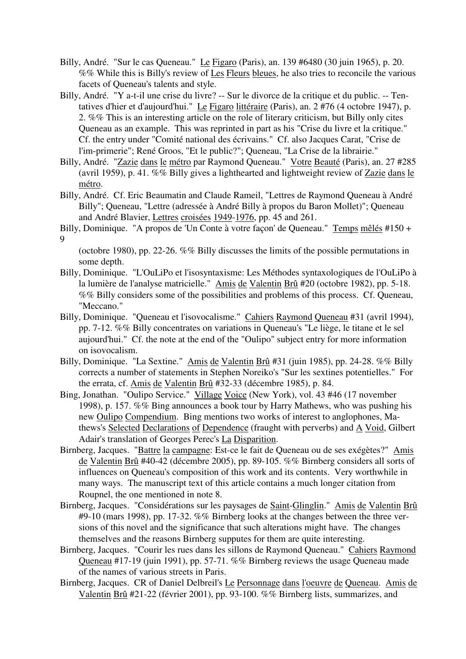- Billy, André. "Sur le cas Queneau." Le Figaro (Paris), an. 139 #6480 (30 juin 1965), p. 20. %% While this is Billy's review of Les Fleurs bleues, he also tries to reconcile the various facets of Queneau's talents and style.
- Billy, André. "Y a-t-il une crise du livre? -- Sur le divorce de la critique et du public. -- Tentatives d'hier et d'aujourd'hui." Le Figaro littéraire (Paris), an. 2 #76 (4 octobre 1947), p. 2. %% This is an interesting article on the role of literary criticism, but Billy only cites Queneau as an example. This was reprinted in part as his "Crise du livre et la critique." Cf. the entry under "Comité national des écrivains." Cf. also Jacques Carat, "Crise de l'im-primerie"; René Groos, "Et le public?"; Queneau, "La Crise de la librairie."
- Billy, André. "Zazie dans le métro par Raymond Queneau." Votre Beauté (Paris), an. 27 #285 (avril 1959), p. 41. %% Billy gives a lighthearted and lightweight review of Zazie dans le métro.
- Billy, André. Cf. Eric Beaumatin and Claude Rameil, "Lettres de Raymond Queneau à André Billy"; Queneau, "Lettre (adressée à André Billy à propos du Baron Mollet)"; Queneau and André Blavier, Lettres croisées 1949-1976, pp. 45 and 261.
- Billy, Dominique. "A propos de 'Un Conte à votre façon' de Queneau." Temps mêlés #150 + 9

(octobre 1980), pp. 22-26. %% Billy discusses the limits of the possible permutations in some depth.

- Billy, Dominique. "L'OuLiPo et l'isosyntaxisme: Les Méthodes syntaxologiques de l'OuLiPo à la lumière de l'analyse matricielle." Amis de Valentin Brû #20 (octobre 1982), pp. 5-18. %% Billy considers some of the possibilities and problems of this process. Cf. Queneau, "Meccano."
- Billy, Dominique. "Queneau et l'isovocalisme." Cahiers Raymond Queneau #31 (avril 1994), pp. 7-12. %% Billy concentrates on variations in Queneau's "Le liège, le titane et le sel aujourd'hui." Cf. the note at the end of the "Oulipo" subject entry for more information on isovocalism.
- Billy, Dominique. "La Sextine." Amis de Valentin Brû #31 (juin 1985), pp. 24-28. %% Billy corrects a number of statements in Stephen Noreiko's "Sur les sextines potentielles." For the errata, cf. Amis de Valentin Brû #32-33 (décembre 1985), p. 84.
- Bing, Jonathan. "Oulipo Service." Village Voice (New York), vol. 43 #46 (17 november 1998), p. 157. %% Bing announces a book tour by Harry Mathews, who was pushing his new Oulipo Compendium. Bing mentions two works of interest to anglophones, Mathews's Selected Declarations of Dependence (fraught with perverbs) and A Void, Gilbert Adair's translation of Georges Perec's La Disparition.
- Birnberg, Jacques. "Battre la campagne: Est-ce le fait de Queneau ou de ses exégètes?" Amis de Valentin Brû #40-42 (décembre 2005), pp. 89-105. %% Birnberg considers all sorts of influences on Queneau's composition of this work and its contents. Very worthwhile in many ways. The manuscript text of this article contains a much longer citation from Roupnel, the one mentioned in note 8.
- Birnberg, Jacques. "Considérations sur les paysages de Saint-Glinglin." Amis de Valentin Brû #9-10 (mars 1998), pp. 17-32. %% Birnberg looks at the changes between the three versions of this novel and the significance that such alterations might have. The changes themselves and the reasons Birnberg supputes for them are quite interesting.
- Birnberg, Jacques. "Courir les rues dans les sillons de Raymond Queneau." Cahiers Raymond Queneau #17-19 (juin 1991), pp. 57-71. %% Birnberg reviews the usage Queneau made of the names of various streets in Paris.
- Birnberg, Jacques. CR of Daniel Delbreil's Le Personnage dans l'oeuvre de Queneau. Amis de Valentin Brû #21-22 (février 2001), pp. 93-100. %% Birnberg lists, summarizes, and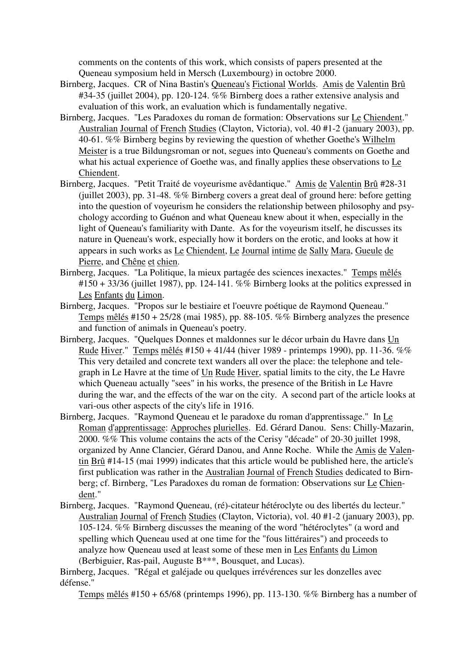comments on the contents of this work, which consists of papers presented at the Queneau symposium held in Mersch (Luxembourg) in octobre 2000.

- Birnberg, Jacques. CR of Nina Bastin's Queneau's Fictional Worlds. Amis de Valentin Brû #34-35 (juillet 2004), pp. 120-124. %% Birnberg does a rather extensive analysis and evaluation of this work, an evaluation which is fundamentally negative.
- Birnberg, Jacques. "Les Paradoxes du roman de formation: Observations sur Le Chiendent." Australian Journal of French Studies (Clayton, Victoria), vol. 40 #1-2 (january 2003), pp. 40-61. %% Birnberg begins by reviewing the question of whether Goethe's Wilhelm Meister is a true Bildungsroman or not, segues into Queneau's comments on Goethe and what his actual experience of Goethe was, and finally applies these observations to Le Chiendent.
- Birnberg, Jacques. "Petit Traité de voyeurisme avêdantique." Amis de Valentin Brû #28-31 (juillet 2003), pp. 31-48. %% Birnberg covers a great deal of ground here: before getting into the question of voyeurism he considers the relationship between philosophy and psychology according to Guénon and what Queneau knew about it when, especially in the light of Queneau's familiarity with Dante. As for the voyeurism itself, he discusses its nature in Queneau's work, especially how it borders on the erotic, and looks at how it appears in such works as Le Chiendent, Le Journal intime de Sally Mara, Gueule de Pierre, and Chêne et chien.
- Birnberg, Jacques. "La Politique, la mieux partagée des sciences inexactes." Temps mêlés  $\text{\#150 + 33/36}$  (juillet 1987), pp. 124-141. %% Birnberg looks at the politics expressed in Les Enfants du Limon.
- Birnberg, Jacques. "Propos sur le bestiaire et l'oeuvre poétique de Raymond Queneau." Temps mêlés #150 + 25/28 (mai 1985), pp. 88-105. %% Birnberg analyzes the presence and function of animals in Queneau's poetry.
- Birnberg, Jacques. "Quelques Donnes et maldonnes sur le décor urbain du Havre dans Un Rude Hiver." Temps mêlés #150 + 41/44 (hiver 1989 - printemps 1990), pp. 11-36. %% This very detailed and concrete text wanders all over the place: the telephone and telegraph in Le Havre at the time of Un Rude Hiver, spatial limits to the city, the Le Havre which Queneau actually "sees" in his works, the presence of the British in Le Havre during the war, and the effects of the war on the city. A second part of the article looks at vari-ous other aspects of the city's life in 1916.
- Birnberg, Jacques. "Raymond Queneau et le paradoxe du roman d'apprentissage." In Le Roman d'apprentissage: Approches plurielles. Ed. Gérard Danou. Sens: Chilly-Mazarin, 2000. %% This volume contains the acts of the Cerisy "décade" of 20-30 juillet 1998, organized by Anne Clancier, Gérard Danou, and Anne Roche. While the Amis de Valentin Brû #14-15 (mai 1999) indicates that this article would be published here, the article's first publication was rather in the Australian Journal of French Studies dedicated to Birnberg; cf. Birnberg, "Les Paradoxes du roman de formation: Observations sur Le Chiendent."
- Birnberg, Jacques. "Raymond Queneau, (ré)-citateur hétéroclyte ou des libertés du lecteur." Australian Journal of French Studies (Clayton, Victoria), vol. 40 #1-2 (january 2003), pp. 105-124. %% Birnberg discusses the meaning of the word "hétéroclytes" (a word and spelling which Queneau used at one time for the "fous littéraires") and proceeds to analyze how Queneau used at least some of these men in Les Enfants du Limon (Berbiguier, Ras-pail, Auguste B\*\*\*, Bousquet, and Lucas).

Birnberg, Jacques. "Régal et galéjade ou quelques irrévérences sur les donzelles avec défense."

Temps mêlés #150 + 65/68 (printemps 1996), pp. 113-130. %% Birnberg has a number of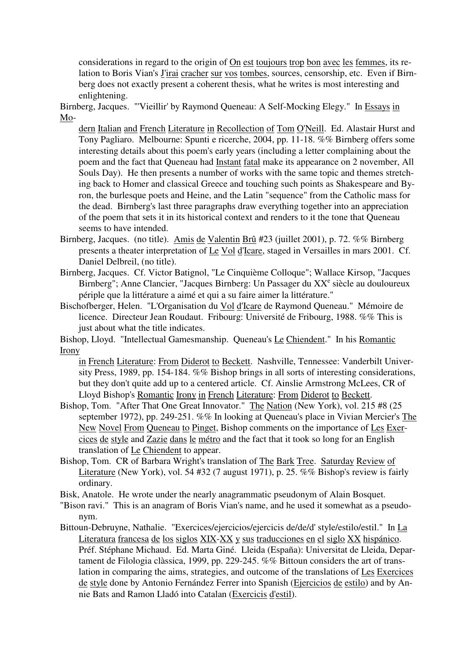considerations in regard to the origin of On est toujours trop bon avec les femmes, its relation to Boris Vian's J'irai cracher sur vos tombes, sources, censorship, etc. Even if Birnberg does not exactly present a coherent thesis, what he writes is most interesting and enlightening.

Birnberg, Jacques. "'Vieillir' by Raymond Queneau: A Self-Mocking Elegy." In Essays in Mo-

dern Italian and French Literature in Recollection of Tom O'Neill. Ed. Alastair Hurst and Tony Pagliaro. Melbourne: Spunti e ricerche, 2004, pp. 11-18. %% Birnberg offers some interesting details about this poem's early years (including a letter complaining about the poem and the fact that Queneau had Instant fatal make its appearance on 2 november, All Souls Day). He then presents a number of works with the same topic and themes stretching back to Homer and classical Greece and touching such points as Shakespeare and Byron, the burlesque poets and Heine, and the Latin "sequence" from the Catholic mass for the dead. Birnberg's last three paragraphs draw everything together into an appreciation of the poem that sets it in its historical context and renders to it the tone that Queneau seems to have intended.

- Birnberg, Jacques. (no title). Amis de Valentin Brû #23 (juillet 2001), p. 72. %% Birnberg presents a theater interpretation of Le Vol d'Icare, staged in Versailles in mars 2001. Cf. Daniel Delbreil, (no title).
- Birnberg, Jacques. Cf. Victor Batignol, "Le Cinquième Colloque"; Wallace Kirsop, "Jacques Birnberg"; Anne Clancier, "Jacques Birnberg: Un Passager du XX<sup>e</sup> siècle au douloureux périple que la littérature a aimé et qui a su faire aimer la littérature."
- Bischofberger, Helen. "L'Organisation du Vol d'Icare de Raymond Queneau." Mémoire de licence. Directeur Jean Roudaut. Fribourg: Université de Fribourg, 1988. %% This is just about what the title indicates.

Bishop, Lloyd. "Intellectual Gamesmanship. Queneau's Le Chiendent." In his Romantic Irony

in French Literature: From Diderot to Beckett. Nashville, Tennessee: Vanderbilt University Press, 1989, pp. 154-184. %% Bishop brings in all sorts of interesting considerations, but they don't quite add up to a centered article. Cf. Ainslie Armstrong McLees, CR of Lloyd Bishop's Romantic Irony in French Literature: From Diderot to Beckett.

- Bishop, Tom. "After That One Great Innovator." The Nation (New York), vol. 215 #8 (25 september 1972), pp. 249-251. %% In looking at Queneau's place in Vivian Mercier's The New Novel From Queneau to Pinget, Bishop comments on the importance of Les Exercices de style and Zazie dans le métro and the fact that it took so long for an English translation of Le Chiendent to appear.
- Bishop, Tom. CR of Barbara Wright's translation of The Bark Tree. Saturday Review of Literature (New York), vol. 54 #32 (7 august 1971), p. 25. %% Bishop's review is fairly ordinary.
- Bisk, Anatole. He wrote under the nearly anagrammatic pseudonym of Alain Bosquet.
- "Bison ravi." This is an anagram of Boris Vian's name, and he used it somewhat as a pseudonym.
- Bittoun-Debruyne, Nathalie. "Exercices/ejercicios/ejercicis de/de/d' style/estilo/estil." In La Literatura francesa de los siglos XIX-XX y sus traducciones en el siglo XX hispánico. Préf. Stéphane Michaud. Ed. Marta Giné. Lleida (España): Universitat de Lleida, Departament de Filologia clàssica, 1999, pp. 229-245. %% Bittoun considers the art of translation in comparing the aims, strategies, and outcome of the translations of Les Exercices de style done by Antonio Fernández Ferrer into Spanish (Ejercicios de estilo) and by Annie Bats and Ramon Lladó into Catalan (Exercicis d'estil).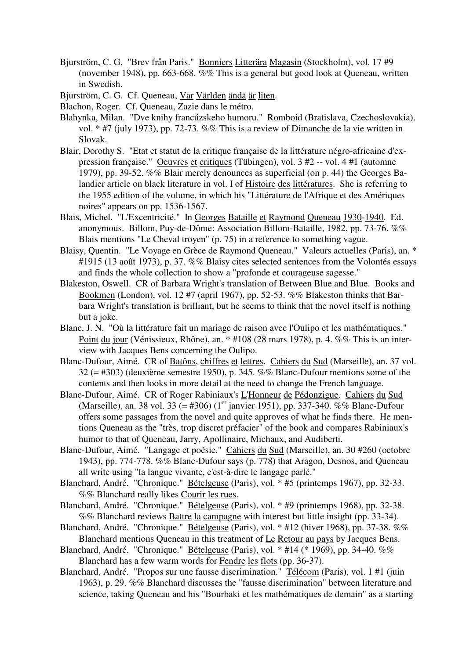- Bjurström, C. G. "Brev från Paris." Bonniers Litterära Magasin (Stockholm), vol. 17 #9 (november 1948), pp. 663-668. %% This is a general but good look at Queneau, written in Swedish.
- Bjurström, C. G. Cf. Queneau, Var Världen ändä är liten.
- Blachon, Roger. Cf. Queneau, Zazie dans le métro.
- Blahynka, Milan. "Dve knihy francúzskeho humoru." Romboid (Bratislava, Czechoslovakia), vol. \* #7 (july 1973), pp. 72-73. %% This is a review of Dimanche de la vie written in Slovak.
- Blair, Dorothy S. "Etat et statut de la critique française de la littérature négro-africaine d'expression française." Oeuvres et critiques (Tübingen), vol. 3 #2 -- vol. 4 #1 (automne 1979), pp. 39-52. %% Blair merely denounces as superficial (on p. 44) the Georges Balandier article on black literature in vol. I of Histoire des littératures. She is referring to the 1955 edition of the volume, in which his "Littérature de l'Afrique et des Amériques noires" appears on pp. 1536-1567.
- Blais, Michel. "L'Excentricité." In Georges Bataille et Raymond Queneau 1930-1940. Ed. anonymous. Billom, Puy-de-Dôme: Association Billom-Bataille, 1982, pp. 73-76. %% Blais mentions "Le Cheval troyen" (p. 75) in a reference to something vague.
- Blaisy, Quentin. "Le Voyage en Grèce de Raymond Queneau." Valeurs actuelles (Paris), an. \* #1915 (13 août 1973), p. 37.  $\%$ % Blaisy cites selected sentences from the Volontés essays and finds the whole collection to show a "profonde et courageuse sagesse."
- Blakeston, Oswell. CR of Barbara Wright's translation of Between Blue and Blue. Books and Bookmen (London), vol. 12 #7 (april 1967), pp. 52-53. %% Blakeston thinks that Barbara Wright's translation is brilliant, but he seems to think that the novel itself is nothing but a joke.
- Blanc, J. N. "Où la littérature fait un mariage de raison avec l'Oulipo et les mathématiques." Point du jour (Vénissieux, Rhône), an. \* #108 (28 mars 1978), p. 4. %% This is an interview with Jacques Bens concerning the Oulipo.
- Blanc-Dufour, Aimé. CR of Batôns, chiffres et lettres. Cahiers du Sud (Marseille), an. 37 vol. 32 (= #303) (deuxième semestre 1950), p. 345. %% Blanc-Dufour mentions some of the contents and then looks in more detail at the need to change the French language.
- Blanc-Dufour, Aimé. CR of Roger Rabiniaux's L'Honneur de Pédonzigue. Cahiers du Sud (Marseille), an. 38 vol. 33 (= #306) ( $1<sup>er</sup>$  janvier 1951), pp. 337-340. %% Blanc-Dufour offers some passages from the novel and quite approves of what he finds there. He mentions Queneau as the "très, trop discret préfacier" of the book and compares Rabiniaux's humor to that of Queneau, Jarry, Apollinaire, Michaux, and Audiberti.
- Blanc-Dufour, Aimé. "Langage et poésie." Cahiers du Sud (Marseille), an. 30 #260 (octobre 1943), pp. 774-778. %% Blanc-Dufour says (p. 778) that Aragon, Desnos, and Queneau all write using "la langue vivante, c'est-à-dire le langage parlé."
- Blanchard, André. "Chronique." Bételgeuse (Paris), vol. \* #5 (printemps 1967), pp. 32-33. %% Blanchard really likes Courir les rues.
- Blanchard, André. "Chronique." Bételgeuse (Paris), vol. \* #9 (printemps 1968), pp. 32-38. %% Blanchard reviews Battre la campagne with interest but little insight (pp. 33-34).
- Blanchard, André. "Chronique." Bételgeuse (Paris), vol. \* #12 (hiver 1968), pp. 37-38. %% Blanchard mentions Queneau in this treatment of Le Retour au pays by Jacques Bens.
- Blanchard, André. "Chronique." Bételgeuse (Paris), vol. \* #14 (\* 1969), pp. 34-40. %% Blanchard has a few warm words for Fendre les flots (pp. 36-37).
- Blanchard, André. "Propos sur une fausse discrimination." Télécom (Paris), vol. 1 #1 (juin 1963), p. 29. %% Blanchard discusses the "fausse discrimination" between literature and science, taking Queneau and his "Bourbaki et les mathématiques de demain" as a starting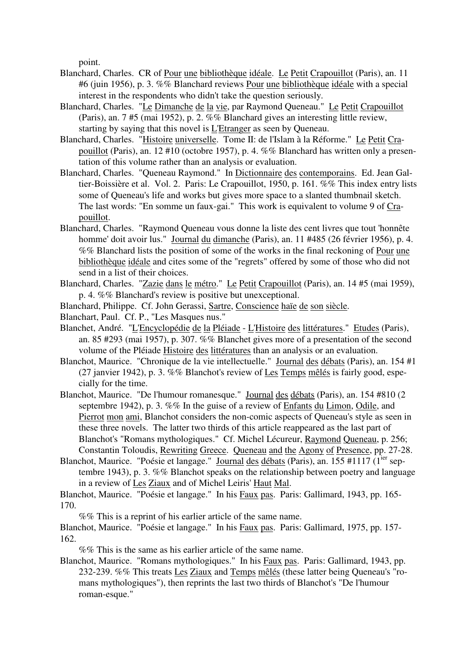point.

- Blanchard, Charles. CR of Pour une bibliothèque idéale. Le Petit Crapouillot (Paris), an. 11 #6 (juin 1956), p. 3. %% Blanchard reviews Pour une bibliothèque idéale with a special interest in the respondents who didn't take the question seriously.
- Blanchard, Charles. "Le Dimanche de la vie, par Raymond Queneau." Le Petit Crapouillot (Paris), an. 7 #5 (mai 1952), p. 2. %% Blanchard gives an interesting little review, starting by saying that this novel is L'Etranger as seen by Queneau.
- Blanchard, Charles. "Histoire universelle. Tome II: de l'Islam à la Réforme." Le Petit Crapouillot (Paris), an. 12 #10 (octobre 1957), p. 4. %% Blanchard has written only a presentation of this volume rather than an analysis or evaluation.
- Blanchard, Charles. "Queneau Raymond." In Dictionnaire des contemporains. Ed. Jean Galtier-Boissière et al. Vol. 2. Paris: Le Crapouillot, 1950, p. 161. %% This index entry lists some of Queneau's life and works but gives more space to a slanted thumbnail sketch. The last words: "En somme un faux-gai." This work is equivalent to volume 9 of Crapouillot.
- Blanchard, Charles. "Raymond Queneau vous donne la liste des cent livres que tout 'honnête homme' doit avoir lus." Journal du dimanche (Paris), an. 11 #485 (26 février 1956), p. 4. %% Blanchard lists the position of some of the works in the final reckoning of Pour une bibliothèque idéale and cites some of the "regrets" offered by some of those who did not send in a list of their choices.
- Blanchard, Charles. "Zazie dans le métro." Le Petit Crapouillot (Paris), an. 14 #5 (mai 1959), p. 4. %% Blanchard's review is positive but unexceptional.
- Blanchard, Philippe. Cf. John Gerassi, Sartre, Conscience haïe de son siècle.
- Blanchart, Paul. Cf. P., "Les Masques nus."
- Blanchet, André. "L'Encyclopédie de la Pléiade L'Histoire des littératures." Etudes (Paris), an. 85 #293 (mai 1957), p. 307. %% Blanchet gives more of a presentation of the second volume of the Pléiade Histoire des littératures than an analysis or an evaluation.
- Blanchot, Maurice. "Chronique de la vie intellectuelle." Journal des débats (Paris), an. 154 #1 (27 janvier 1942), p. 3. %% Blanchot's review of Les Temps mêlés is fairly good, especially for the time.
- Blanchot, Maurice. "De l'humour romanesque." Journal des débats (Paris), an. 154 #810 (2 septembre 1942), p. 3. %% In the guise of a review of Enfants du Limon, Odile, and Pierrot mon ami, Blanchot considers the non-comic aspects of Queneau's style as seen in these three novels. The latter two thirds of this article reappeared as the last part of Blanchot's "Romans mythologiques." Cf. Michel Lécureur, Raymond Queneau, p. 256; Constantin Toloudis, Rewriting Greece. Queneau and the Agony of Presence, pp. 27-28.
- Blanchot, Maurice. "Poésie et langage." Journal des débats (Paris), an. 155 #1117 (1<sup>ier</sup> septembre 1943), p. 3. %% Blanchot speaks on the relationship between poetry and language in a review of Les Ziaux and of Michel Leiris' Haut Mal.
- Blanchot, Maurice. "Poésie et langage." In his Faux pas. Paris: Gallimard, 1943, pp. 165- 170.

%% This is a reprint of his earlier article of the same name.

Blanchot, Maurice. "Poésie et langage." In his Faux pas. Paris: Gallimard, 1975, pp. 157- 162.

- %% This is the same as his earlier article of the same name.
- Blanchot, Maurice. "Romans mythologiques." In his Faux pas. Paris: Gallimard, 1943, pp. 232-239. %% This treats Les Ziaux and Temps mêlés (these latter being Queneau's "romans mythologiques"), then reprints the last two thirds of Blanchot's "De l'humour roman-esque."